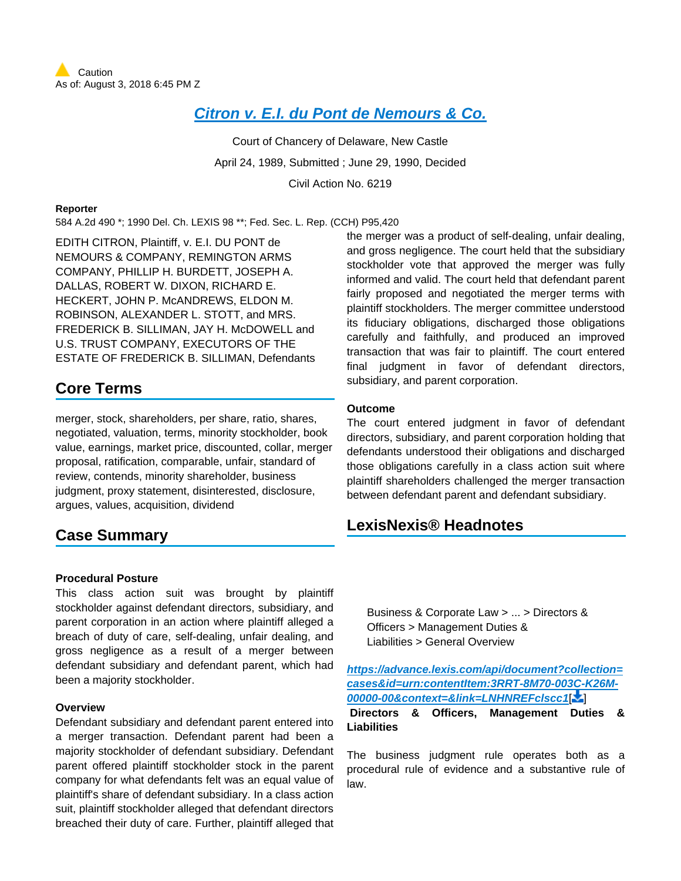# **[Citron v. E.I. du Pont de Nemours & Co.](https://advance.lexis.com/api/document?collection=cases&id=urn:contentItem:3RRT-8M70-003C-K26M-00000-00&context=)**

Court of Chancery of Delaware, New Castle April 24, 1989, Submitted ; June 29, 1990, Decided Civil Action No. 6219

#### **Reporter**

584 A.2d 490 \*; 1990 Del. Ch. LEXIS 98 \*\*; Fed. Sec. L. Rep. (CCH) P95,420

EDITH CITRON, Plaintiff, v. E.I. DU PONT de NEMOURS & COMPANY, REMINGTON ARMS COMPANY, PHILLIP H. BURDETT, JOSEPH A. DALLAS, ROBERT W. DIXON, RICHARD E. HECKERT, JOHN P. McANDREWS, ELDON M. ROBINSON, ALEXANDER L. STOTT, and MRS. FREDERICK B. SILLIMAN, JAY H. McDOWELL and U.S. TRUST COMPANY, EXECUTORS OF THE ESTATE OF FREDERICK B. SILLIMAN, Defendants

# **Core Terms**

merger, stock, shareholders, per share, ratio, shares, negotiated, valuation, terms, minority stockholder, book value, earnings, market price, discounted, collar, merger proposal, ratification, comparable, unfair, standard of review, contends, minority shareholder, business judgment, proxy statement, disinterested, disclosure, argues, values, acquisition, dividend

# **Case Summary**

### **Procedural Posture**

This class action suit was brought by plaintiff stockholder against defendant directors, subsidiary, and parent corporation in an action where plaintiff alleged a breach of duty of care, self-dealing, unfair dealing, and gross negligence as a result of a merger between defendant subsidiary and defendant parent, which had been a majority stockholder.

### **Overview**

Defendant subsidiary and defendant parent entered into a merger transaction. Defendant parent had been a majority stockholder of defendant subsidiary. Defendant parent offered plaintiff stockholder stock in the parent company for what defendants felt was an equal value of plaintiff's share of defendant subsidiary. In a class action suit, plaintiff stockholder alleged that defendant directors breached their duty of care. Further, plaintiff alleged that the merger was a product of self-dealing, unfair dealing, and gross negligence. The court held that the subsidiary stockholder vote that approved the merger was fully informed and valid. The court held that defendant parent fairly proposed and negotiated the merger terms with plaintiff stockholders. The merger committee understood its fiduciary obligations, discharged those obligations carefully and faithfully, and produced an improved transaction that was fair to plaintiff. The court entered final judgment in favor of defendant directors, subsidiary, and parent corporation.

#### **Outcome**

The court entered judgment in favor of defendant directors, subsidiary, and parent corporation holding that defendants understood their obligations and discharged those obligations carefully in a class action suit where plaintiff shareholders challenged the merger transaction between defendant parent and defendant subsidiary.

# **LexisNexis® Headnotes**

Business & Corporate Law > ... > Directors & Officers > Management Duties & Liabilities > General Overview

**[https://advance.lexis.com/api/document?collection=](https://advance.lexis.com/api/document?collection=cases&id=urn:contentItem:3RRT-8M70-003C-K26M-00000-00&context=&link=LNHNREFclscc1) [cases&id=urn:contentItem:3RRT-8M70-003C-K26M-](https://advance.lexis.com/api/document?collection=cases&id=urn:contentItem:3RRT-8M70-003C-K26M-00000-00&context=&link=LNHNREFclscc1)[00000-00&context=&link=LNHNREFclscc1](https://advance.lexis.com/api/document?collection=cases&id=urn:contentItem:3RRT-8M70-003C-K26M-00000-00&context=&link=LNHNREFclscc1)**[\[](#page-11-0) ]

 **Directors & Officers, Management Duties & Liabilities**

The business judgment rule operates both as a procedural rule of evidence and a substantive rule of law.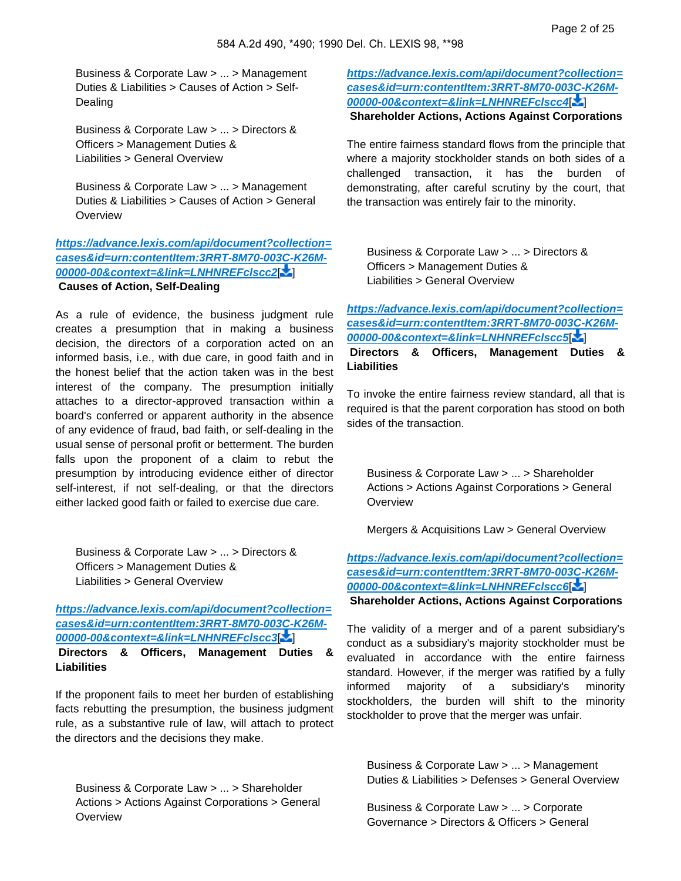Business & Corporate Law > ... > Management Duties & Liabilities > Causes of Action > Self-Dealing

Business & Corporate Law > ... > Directors & Officers > Management Duties & Liabilities > General Overview

Business & Corporate Law > ... > Management Duties & Liabilities > Causes of Action > General **Overview** 

**[https://advance.lexis.com/api/document?collection=](https://advance.lexis.com/api/document?collection=cases&id=urn:contentItem:3RRT-8M70-003C-K26M-00000-00&context=&link=LNHNREFclscc2) [cases&id=urn:contentItem:3RRT-8M70-003C-K26M-](https://advance.lexis.com/api/document?collection=cases&id=urn:contentItem:3RRT-8M70-003C-K26M-00000-00&context=&link=LNHNREFclscc2)[00000-00&context=&link=LNHNREFclscc2](https://advance.lexis.com/api/document?collection=cases&id=urn:contentItem:3RRT-8M70-003C-K26M-00000-00&context=&link=LNHNREFclscc2)**[\[](#page-11-1) ]  **Causes of Action, Self-Dealing**

As a rule of evidence, the business judgment rule creates a presumption that in making a business decision, the directors of a corporation acted on an informed basis, i.e., with due care, in good faith and in the honest belief that the action taken was in the best interest of the company. The presumption initially attaches to a director-approved transaction within a board's conferred or apparent authority in the absence of any evidence of fraud, bad faith, or self-dealing in the usual sense of personal profit or betterment. The burden falls upon the proponent of a claim to rebut the presumption by introducing evidence either of director self-interest, if not self-dealing, or that the directors either lacked good faith or failed to exercise due care.

Business & Corporate Law > ... > Directors & Officers > Management Duties & Liabilities > General Overview

**[https://advance.lexis.com/api/document?collection=](https://advance.lexis.com/api/document?collection=cases&id=urn:contentItem:3RRT-8M70-003C-K26M-00000-00&context=&link=LNHNREFclscc3) [cases&id=urn:contentItem:3RRT-8M70-003C-K26M-](https://advance.lexis.com/api/document?collection=cases&id=urn:contentItem:3RRT-8M70-003C-K26M-00000-00&context=&link=LNHNREFclscc3)[00000-00&context=&link=LNHNREFclscc3](https://advance.lexis.com/api/document?collection=cases&id=urn:contentItem:3RRT-8M70-003C-K26M-00000-00&context=&link=LNHNREFclscc3)**[\[](#page-11-2) ]  **Directors & Officers, Management Duties & Liabilities**

If the proponent fails to meet her burden of establishing facts rebutting the presumption, the business judgment rule, as a substantive rule of law, will attach to protect the directors and the decisions they make.

Business & Corporate Law > ... > Shareholder Actions > Actions Against Corporations > General **Overview** 

**[https://advance.lexis.com/api/document?collection=](https://advance.lexis.com/api/document?collection=cases&id=urn:contentItem:3RRT-8M70-003C-K26M-00000-00&context=&link=LNHNREFclscc4) [cases&id=urn:contentItem:3RRT-8M70-003C-K26M-](https://advance.lexis.com/api/document?collection=cases&id=urn:contentItem:3RRT-8M70-003C-K26M-00000-00&context=&link=LNHNREFclscc4)[00000-00&context=&link=LNHNREFclscc4](https://advance.lexis.com/api/document?collection=cases&id=urn:contentItem:3RRT-8M70-003C-K26M-00000-00&context=&link=LNHNREFclscc4)**[\[](#page-11-3) ]  **Shareholder Actions, Actions Against Corporations**

The entire fairness standard flows from the principle that where a majority stockholder stands on both sides of a challenged transaction, it has the burden of demonstrating, after careful scrutiny by the court, that the transaction was entirely fair to the minority.

<span id="page-1-0"></span>Business & Corporate Law > ... > Directors & Officers > Management Duties & Liabilities > General Overview

**[https://advance.lexis.com/api/document?collection=](https://advance.lexis.com/api/document?collection=cases&id=urn:contentItem:3RRT-8M70-003C-K26M-00000-00&context=&link=LNHNREFclscc5) [cases&id=urn:contentItem:3RRT-8M70-003C-K26M-](https://advance.lexis.com/api/document?collection=cases&id=urn:contentItem:3RRT-8M70-003C-K26M-00000-00&context=&link=LNHNREFclscc5)[00000-00&context=&link=LNHNREFclscc5](https://advance.lexis.com/api/document?collection=cases&id=urn:contentItem:3RRT-8M70-003C-K26M-00000-00&context=&link=LNHNREFclscc5)**[ [\]](#page-12-0)

 **Directors & Officers, Management Duties & Liabilities**

To invoke the entire fairness review standard, all that is required is that the parent corporation has stood on both sides of the transaction.

Business & Corporate Law > ... > Shareholder Actions > Actions Against Corporations > General **Overview** 

Mergers & Acquisitions Law > General Overview

**[https://advance.lexis.com/api/document?collection=](https://advance.lexis.com/api/document?collection=cases&id=urn:contentItem:3RRT-8M70-003C-K26M-00000-00&context=&link=LNHNREFclscc6) [cases&id=urn:contentItem:3RRT-8M70-003C-K26M-](https://advance.lexis.com/api/document?collection=cases&id=urn:contentItem:3RRT-8M70-003C-K26M-00000-00&context=&link=LNHNREFclscc6)[00000-00&context=&link=LNHNREFclscc6](https://advance.lexis.com/api/document?collection=cases&id=urn:contentItem:3RRT-8M70-003C-K26M-00000-00&context=&link=LNHNREFclscc6)**[\[](#page-12-1) ]

 **Shareholder Actions, Actions Against Corporations**

The validity of a merger and of a parent subsidiary's conduct as a subsidiary's majority stockholder must be evaluated in accordance with the entire fairness standard. However, if the merger was ratified by a fully informed majority of a subsidiary's minority stockholders, the burden will shift to the minority stockholder to prove that the merger was unfair.

Business & Corporate Law > ... > Management Duties & Liabilities > Defenses > General Overview

Business & Corporate Law > ... > Corporate Governance > Directors & Officers > General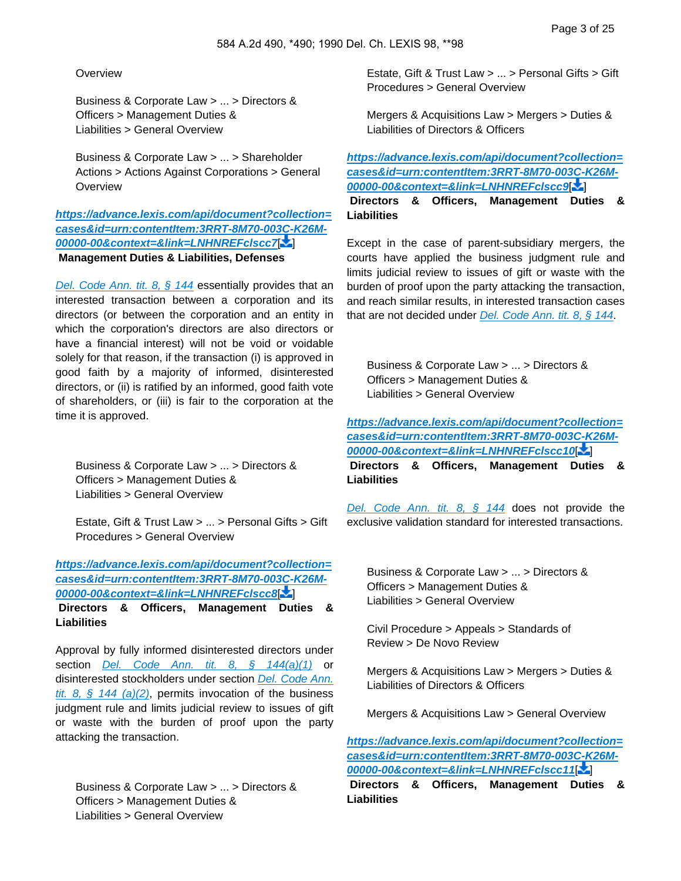#### **Overview**

Business & Corporate Law > ... > Directors & Officers > Management Duties & Liabilities > General Overview

Business & Corporate Law > ... > Shareholder Actions > Actions Against Corporations > General **Overview** 

**[https://advance.lexis.com/api/document?collection=](https://advance.lexis.com/api/document?collection=cases&id=urn:contentItem:3RRT-8M70-003C-K26M-00000-00&context=&link=LNHNREFclscc7) [cases&id=urn:contentItem:3RRT-8M70-003C-K26M-](https://advance.lexis.com/api/document?collection=cases&id=urn:contentItem:3RRT-8M70-003C-K26M-00000-00&context=&link=LNHNREFclscc7)[00000-00&context=&link=LNHNREFclscc7](https://advance.lexis.com/api/document?collection=cases&id=urn:contentItem:3RRT-8M70-003C-K26M-00000-00&context=&link=LNHNREFclscc7)**[\[](#page-12-2) ]  **Management Duties & Liabilities, Defenses**

[Del. Code Ann. tit. 8, § 144](https://advance.lexis.com/api/document?collection=statutes-legislation&id=urn:contentItem:5SY3-C2H0-004D-41ST-00000-00&context=) essentially provides that an interested transaction between a corporation and its directors (or between the corporation and an entity in which the corporation's directors are also directors or have a financial interest) will not be void or voidable solely for that reason, if the transaction (i) is approved in good faith by a majority of informed, disinterested directors, or (ii) is ratified by an informed, good faith vote of shareholders, or (iii) is fair to the corporation at the time it is approved.

Business & Corporate Law > ... > Directors & Officers > Management Duties & Liabilities > General Overview

Estate, Gift & Trust Law > ... > Personal Gifts > Gift Procedures > General Overview

# **[https://advance.lexis.com/api/document?collection=](https://advance.lexis.com/api/document?collection=cases&id=urn:contentItem:3RRT-8M70-003C-K26M-00000-00&context=&link=LNHNREFclscc8) [cases&id=urn:contentItem:3RRT-8M70-003C-K26M-](https://advance.lexis.com/api/document?collection=cases&id=urn:contentItem:3RRT-8M70-003C-K26M-00000-00&context=&link=LNHNREFclscc8)[00000-00&context=&link=LNHNREFclscc8](https://advance.lexis.com/api/document?collection=cases&id=urn:contentItem:3RRT-8M70-003C-K26M-00000-00&context=&link=LNHNREFclscc8)**[\[](#page-12-3) ]

 **Directors & Officers, Management Duties & Liabilities**

Approval by fully informed disinterested directors under section [Del. Code Ann. tit. 8, § 144\(a\)\(1\)](https://advance.lexis.com/api/document?collection=statutes-legislation&id=urn:contentItem:5SY3-C2H0-004D-41ST-00000-00&context=) or disinterested stockholders under section [Del. Code Ann.](https://advance.lexis.com/api/document?collection=statutes-legislation&id=urn:contentItem:5SY3-C2H0-004D-41ST-00000-00&context=)  tit. 8,  $\frac{1}{2}$  144 (a)(2), permits invocation of the business judgment rule and limits judicial review to issues of gift or waste with the burden of proof upon the party attacking the transaction.

Business & Corporate Law > ... > Directors & Officers > Management Duties & Liabilities > General Overview

Estate, Gift & Trust Law > ... > Personal Gifts > Gift Procedures > General Overview

Mergers & Acquisitions Law > Mergers > Duties & Liabilities of Directors & Officers

**[https://advance.lexis.com/api/document?collection=](https://advance.lexis.com/api/document?collection=cases&id=urn:contentItem:3RRT-8M70-003C-K26M-00000-00&context=&link=LNHNREFclscc9) [cases&id=urn:contentItem:3RRT-8M70-003C-K26M-](https://advance.lexis.com/api/document?collection=cases&id=urn:contentItem:3RRT-8M70-003C-K26M-00000-00&context=&link=LNHNREFclscc9)[00000-00&context=&link=LNHNREFclscc9](https://advance.lexis.com/api/document?collection=cases&id=urn:contentItem:3RRT-8M70-003C-K26M-00000-00&context=&link=LNHNREFclscc9)**[\[](#page-12-4) ]

 **Directors & Officers, Management Duties & Liabilities**

Except in the case of parent-subsidiary mergers, the courts have applied the business judgment rule and limits judicial review to issues of gift or waste with the burden of proof upon the party attacking the transaction, and reach similar results, in interested transaction cases that are not decided under *[Del. Code Ann. tit. 8, § 144](https://advance.lexis.com/api/document?collection=statutes-legislation&id=urn:contentItem:5SY3-C2H0-004D-41ST-00000-00&context=)*.

<span id="page-2-0"></span>Business & Corporate Law > ... > Directors & Officers > Management Duties & Liabilities > General Overview

**[https://advance.lexis.com/api/document?collection=](https://advance.lexis.com/api/document?collection=cases&id=urn:contentItem:3RRT-8M70-003C-K26M-00000-00&context=&link=LNHNREFclscc10) [cases&id=urn:contentItem:3RRT-8M70-003C-K26M-](https://advance.lexis.com/api/document?collection=cases&id=urn:contentItem:3RRT-8M70-003C-K26M-00000-00&context=&link=LNHNREFclscc10)[00000-00&context=&link=LNHNREFclscc10](https://advance.lexis.com/api/document?collection=cases&id=urn:contentItem:3RRT-8M70-003C-K26M-00000-00&context=&link=LNHNREFclscc10)**[ ]

 **Directors & Officers, Management Duties & Liabilities**

<span id="page-2-1"></span>[Del. Code Ann. tit. 8, § 144](https://advance.lexis.com/api/document?collection=statutes-legislation&id=urn:contentItem:5SY3-C2H0-004D-41ST-00000-00&context=) does not provide the exclusive validation standard for interested transactions.

Business & Corporate Law > ... > Directors & Officers > Management Duties & Liabilities > General Overview

Civil Procedure > Appeals > Standards of Review > De Novo Review

Mergers & Acquisitions Law > Mergers > Duties & Liabilities of Directors & Officers

Mergers & Acquisitions Law > General Overview

**[https://advance.lexis.com/api/document?collection=](https://advance.lexis.com/api/document?collection=cases&id=urn:contentItem:3RRT-8M70-003C-K26M-00000-00&context=&link=LNHNREFclscc11) [cases&id=urn:contentItem:3RRT-8M70-003C-K26M-](https://advance.lexis.com/api/document?collection=cases&id=urn:contentItem:3RRT-8M70-003C-K26M-00000-00&context=&link=LNHNREFclscc11)[00000-00&context=&link=LNHNREFclscc11](https://advance.lexis.com/api/document?collection=cases&id=urn:contentItem:3RRT-8M70-003C-K26M-00000-00&context=&link=LNHNREFclscc11)**[ ]

 **Directors & Officers, Management Duties & Liabilities**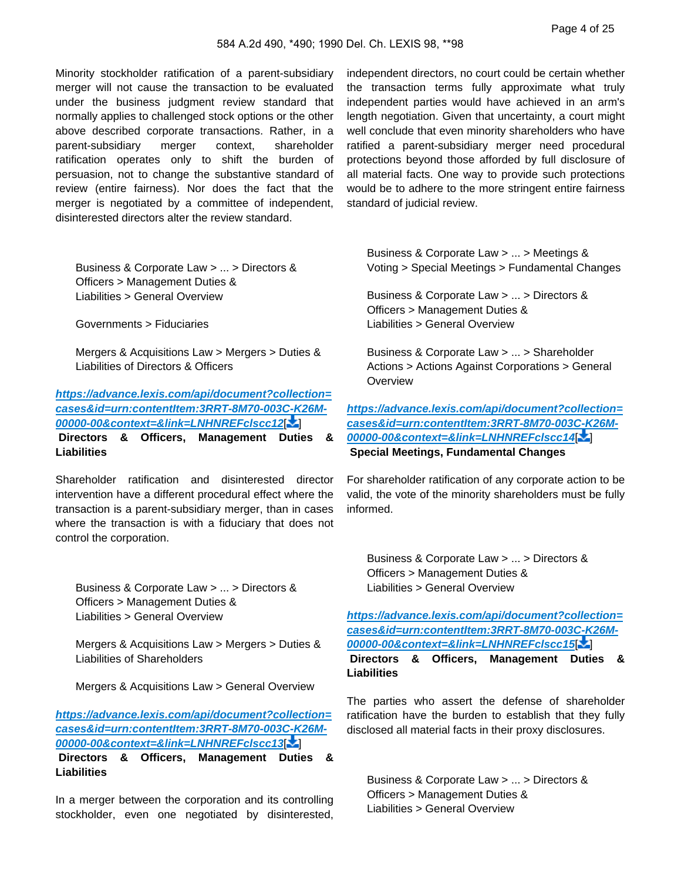Minority stockholder ratification of a parent-subsidiary merger will not cause the transaction to be evaluated under the business judgment review standard that normally applies to challenged stock options or the other above described corporate transactions. Rather, in a parent-subsidiary merger context, shareholder ratification operates only to shift the burden of persuasion, not to change the substantive standard of review (entire fairness). Nor does the fact that the merger is negotiated by a committee of independent, disinterested directors alter the review standard.

independent directors, no court could be certain whether the transaction terms fully approximate what truly independent parties would have achieved in an arm's length negotiation. Given that uncertainty, a court might well conclude that even minority shareholders who have ratified a parent-subsidiary merger need procedural protections beyond those afforded by full disclosure of all material facts. One way to provide such protections would be to adhere to the more stringent entire fairness standard of judicial review.

<span id="page-3-0"></span>Business & Corporate Law > ... > Directors & Officers > Management Duties & Liabilities > General Overview

Governments > Fiduciaries

Mergers & Acquisitions Law > Mergers > Duties & Liabilities of Directors & Officers

**[https://advance.lexis.com/api/document?collection=](https://advance.lexis.com/api/document?collection=cases&id=urn:contentItem:3RRT-8M70-003C-K26M-00000-00&context=&link=LNHNREFclscc12) [cases&id=urn:contentItem:3RRT-8M70-003C-K26M-](https://advance.lexis.com/api/document?collection=cases&id=urn:contentItem:3RRT-8M70-003C-K26M-00000-00&context=&link=LNHNREFclscc12)[00000-00&context=&link=LNHNREFclscc12](https://advance.lexis.com/api/document?collection=cases&id=urn:contentItem:3RRT-8M70-003C-K26M-00000-00&context=&link=LNHNREFclscc12)**[ ]  **Directors & Officers, Management Duties & Liabilities**

Shareholder ratification and disinterested director intervention have a different procedural effect where the transaction is a parent-subsidiary merger, than in cases where the transaction is with a fiduciary that does not control the corporation.

<span id="page-3-1"></span>Business & Corporate Law > ... > Directors & Officers > Management Duties & Liabilities > General Overview

Mergers & Acquisitions Law > Mergers > Duties & Liabilities of Shareholders

Mergers & Acquisitions Law > General Overview

**[https://advance.lexis.com/api/document?collection=](https://advance.lexis.com/api/document?collection=cases&id=urn:contentItem:3RRT-8M70-003C-K26M-00000-00&context=&link=LNHNREFclscc13) [cases&id=urn:contentItem:3RRT-8M70-003C-K26M-](https://advance.lexis.com/api/document?collection=cases&id=urn:contentItem:3RRT-8M70-003C-K26M-00000-00&context=&link=LNHNREFclscc13)[00000-00&context=&link=LNHNREFclscc13](https://advance.lexis.com/api/document?collection=cases&id=urn:contentItem:3RRT-8M70-003C-K26M-00000-00&context=&link=LNHNREFclscc13)**[ ]

 **Directors & Officers, Management Duties & Liabilities**

In a merger between the corporation and its controlling stockholder, even one negotiated by disinterested,

<span id="page-3-2"></span>Business & Corporate Law > ... > Meetings & Voting > Special Meetings > Fundamental Changes

Business & Corporate Law > ... > Directors & Officers > Management Duties & Liabilities > General Overview

Business & Corporate Law > ... > Shareholder Actions > Actions Against Corporations > General **Overview** 

**[https://advance.lexis.com/api/document?collection=](https://advance.lexis.com/api/document?collection=cases&id=urn:contentItem:3RRT-8M70-003C-K26M-00000-00&context=&link=LNHNREFclscc14) [cases&id=urn:contentItem:3RRT-8M70-003C-K26M-](https://advance.lexis.com/api/document?collection=cases&id=urn:contentItem:3RRT-8M70-003C-K26M-00000-00&context=&link=LNHNREFclscc14)[00000-00&context=&link=LNHNREFclscc14](https://advance.lexis.com/api/document?collection=cases&id=urn:contentItem:3RRT-8M70-003C-K26M-00000-00&context=&link=LNHNREFclscc14)**[ ]  **Special Meetings, Fundamental Changes**

<span id="page-3-3"></span>For shareholder ratification of any corporate action to be valid, the vote of the minority shareholders must be fully informed.

Business & Corporate Law > ... > Directors & Officers > Management Duties & Liabilities > General Overview

**[https://advance.lexis.com/api/document?collection=](https://advance.lexis.com/api/document?collection=cases&id=urn:contentItem:3RRT-8M70-003C-K26M-00000-00&context=&link=LNHNREFclscc15) [cases&id=urn:contentItem:3RRT-8M70-003C-K26M-](https://advance.lexis.com/api/document?collection=cases&id=urn:contentItem:3RRT-8M70-003C-K26M-00000-00&context=&link=LNHNREFclscc15)[00000-00&context=&link=LNHNREFclscc15](https://advance.lexis.com/api/document?collection=cases&id=urn:contentItem:3RRT-8M70-003C-K26M-00000-00&context=&link=LNHNREFclscc15)**[ ]

 **Directors & Officers, Management Duties & Liabilities**

<span id="page-3-4"></span>The parties who assert the defense of shareholder ratification have the burden to establish that they fully disclosed all material facts in their proxy disclosures.

Business & Corporate Law > ... > Directors & Officers > Management Duties & Liabilities > General Overview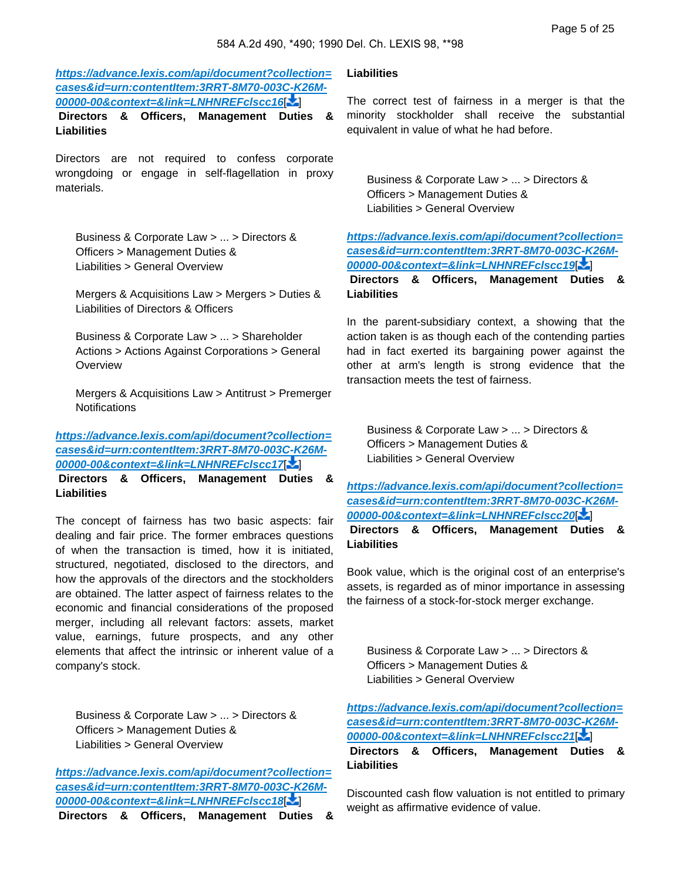**[https://advance.lexis.com/api/document?collection=](https://advance.lexis.com/api/document?collection=cases&id=urn:contentItem:3RRT-8M70-003C-K26M-00000-00&context=&link=LNHNREFclscc16) [cases&id=urn:contentItem:3RRT-8M70-003C-K26M-](https://advance.lexis.com/api/document?collection=cases&id=urn:contentItem:3RRT-8M70-003C-K26M-00000-00&context=&link=LNHNREFclscc16)[00000-00&context=&link=LNHNREFclscc16](https://advance.lexis.com/api/document?collection=cases&id=urn:contentItem:3RRT-8M70-003C-K26M-00000-00&context=&link=LNHNREFclscc16)**[ ]

 **Directors & Officers, Management Duties & Liabilities**

<span id="page-4-0"></span>Directors are not required to confess corporate wrongdoing or engage in self-flagellation in proxy materials.

Business & Corporate Law > ... > Directors & Officers > Management Duties & Liabilities > General Overview

Mergers & Acquisitions Law > Mergers > Duties & Liabilities of Directors & Officers

Business & Corporate Law > ... > Shareholder Actions > Actions Against Corporations > General **Overview** 

Mergers & Acquisitions Law > Antitrust > Premerger **Notifications** 

**[https://advance.lexis.com/api/document?collection=](https://advance.lexis.com/api/document?collection=cases&id=urn:contentItem:3RRT-8M70-003C-K26M-00000-00&context=&link=LNHNREFclscc17) [cases&id=urn:contentItem:3RRT-8M70-003C-K26M-](https://advance.lexis.com/api/document?collection=cases&id=urn:contentItem:3RRT-8M70-003C-K26M-00000-00&context=&link=LNHNREFclscc17)[00000-00&context=&link=LNHNREFclscc17](https://advance.lexis.com/api/document?collection=cases&id=urn:contentItem:3RRT-8M70-003C-K26M-00000-00&context=&link=LNHNREFclscc17)**[ ]

 **Directors & Officers, Management Duties & Liabilities**

The concept of fairness has two basic aspects: fair dealing and fair price. The former embraces questions of when the transaction is timed, how it is initiated, structured, negotiated, disclosed to the directors, and how the approvals of the directors and the stockholders are obtained. The latter aspect of fairness relates to the economic and financial considerations of the proposed merger, including all relevant factors: assets, market value, earnings, future prospects, and any other elements that affect the intrinsic or inherent value of a company's stock.

<span id="page-4-1"></span>Business & Corporate Law > ... > Directors & Officers > Management Duties & Liabilities > General Overview

**[https://advance.lexis.com/api/document?collection=](https://advance.lexis.com/api/document?collection=cases&id=urn:contentItem:3RRT-8M70-003C-K26M-00000-00&context=&link=LNHNREFclscc18) [cases&id=urn:contentItem:3RRT-8M70-003C-K26M-](https://advance.lexis.com/api/document?collection=cases&id=urn:contentItem:3RRT-8M70-003C-K26M-00000-00&context=&link=LNHNREFclscc18)[00000-00&context=&link=LNHNREFclscc18](https://advance.lexis.com/api/document?collection=cases&id=urn:contentItem:3RRT-8M70-003C-K26M-00000-00&context=&link=LNHNREFclscc18)**[ ]  **Directors & Officers, Management Duties &** 

### **Liabilities**

<span id="page-4-2"></span>The correct test of fairness in a merger is that the minority stockholder shall receive the substantial equivalent in value of what he had before.

Business & Corporate Law > ... > Directors & Officers > Management Duties & Liabilities > General Overview

**[https://advance.lexis.com/api/document?collection=](https://advance.lexis.com/api/document?collection=cases&id=urn:contentItem:3RRT-8M70-003C-K26M-00000-00&context=&link=LNHNREFclscc19) [cases&id=urn:contentItem:3RRT-8M70-003C-K26M-](https://advance.lexis.com/api/document?collection=cases&id=urn:contentItem:3RRT-8M70-003C-K26M-00000-00&context=&link=LNHNREFclscc19)[00000-00&context=&link=LNHNREFclscc19](https://advance.lexis.com/api/document?collection=cases&id=urn:contentItem:3RRT-8M70-003C-K26M-00000-00&context=&link=LNHNREFclscc19)**[ ]

 **Directors & Officers, Management Duties & Liabilities**

In the parent-subsidiary context, a showing that the action taken is as though each of the contending parties had in fact exerted its bargaining power against the other at arm's length is strong evidence that the transaction meets the test of fairness.

<span id="page-4-3"></span>Business & Corporate Law > ... > Directors & Officers > Management Duties & Liabilities > General Overview

**[https://advance.lexis.com/api/document?collection=](https://advance.lexis.com/api/document?collection=cases&id=urn:contentItem:3RRT-8M70-003C-K26M-00000-00&context=&link=LNHNREFclscc20) [cases&id=urn:contentItem:3RRT-8M70-003C-K26M-](https://advance.lexis.com/api/document?collection=cases&id=urn:contentItem:3RRT-8M70-003C-K26M-00000-00&context=&link=LNHNREFclscc20)[00000-00&context=&link=LNHNREFclscc20](https://advance.lexis.com/api/document?collection=cases&id=urn:contentItem:3RRT-8M70-003C-K26M-00000-00&context=&link=LNHNREFclscc20)**[ ]

 **Directors & Officers, Management Duties & Liabilities**

<span id="page-4-4"></span>Book value, which is the original cost of an enterprise's assets, is regarded as of minor importance in assessing the fairness of a stock-for-stock merger exchange.

Business & Corporate Law > ... > Directors & Officers > Management Duties & Liabilities > General Overview

**[https://advance.lexis.com/api/document?collection=](https://advance.lexis.com/api/document?collection=cases&id=urn:contentItem:3RRT-8M70-003C-K26M-00000-00&context=&link=LNHNREFclscc21) [cases&id=urn:contentItem:3RRT-8M70-003C-K26M-](https://advance.lexis.com/api/document?collection=cases&id=urn:contentItem:3RRT-8M70-003C-K26M-00000-00&context=&link=LNHNREFclscc21)[00000-00&context=&link=LNHNREFclscc21](https://advance.lexis.com/api/document?collection=cases&id=urn:contentItem:3RRT-8M70-003C-K26M-00000-00&context=&link=LNHNREFclscc21)**[ ]

 **Directors & Officers, Management Duties & Liabilities**

Discounted cash flow valuation is not entitled to primary weight as affirmative evidence of value.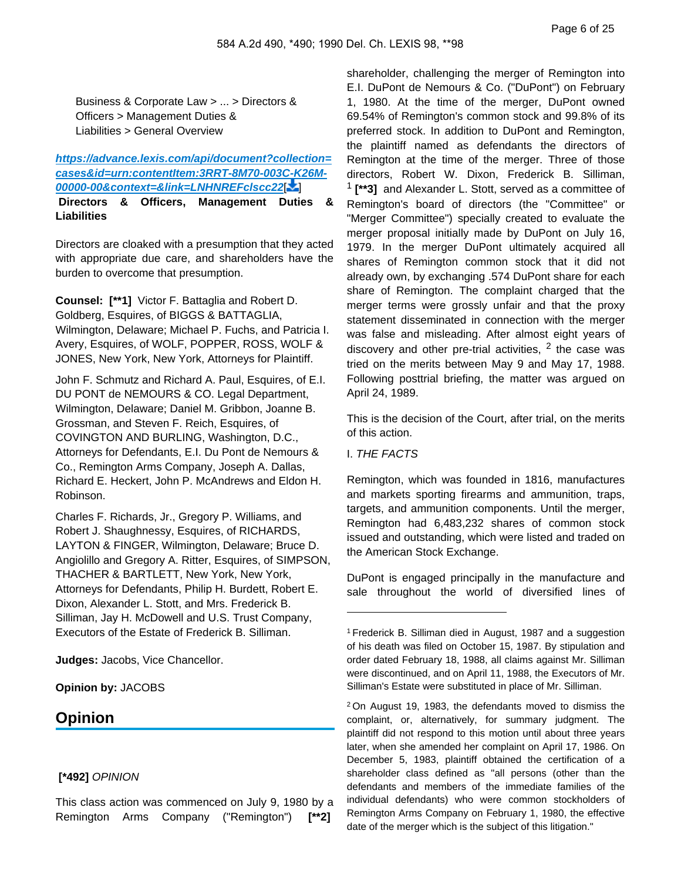<span id="page-5-0"></span>Business & Corporate Law > ... > Directors & Officers > Management Duties & Liabilities > General Overview

# **[https://advance.lexis.com/api/document?collection=](https://advance.lexis.com/api/document?collection=cases&id=urn:contentItem:3RRT-8M70-003C-K26M-00000-00&context=&link=LNHNREFclscc22) [cases&id=urn:contentItem:3RRT-8M70-003C-K26M-](https://advance.lexis.com/api/document?collection=cases&id=urn:contentItem:3RRT-8M70-003C-K26M-00000-00&context=&link=LNHNREFclscc22)[00000-00&context=&link=LNHNREFclscc22](https://advance.lexis.com/api/document?collection=cases&id=urn:contentItem:3RRT-8M70-003C-K26M-00000-00&context=&link=LNHNREFclscc22)**[ ]

 **Directors & Officers, Management Duties & Liabilities**

Directors are cloaked with a presumption that they acted with appropriate due care, and shareholders have the burden to overcome that presumption.

**Counsel: [\*\*1]** Victor F. Battaglia and Robert D. Goldberg, Esquires, of BIGGS & BATTAGLIA, Wilmington, Delaware; Michael P. Fuchs, and Patricia I. Avery, Esquires, of WOLF, POPPER, ROSS, WOLF & JONES, New York, New York, Attorneys for Plaintiff.

John F. Schmutz and Richard A. Paul, Esquires, of E.I. DU PONT de NEMOURS & CO. Legal Department, Wilmington, Delaware; Daniel M. Gribbon, Joanne B. Grossman, and Steven F. Reich, Esquires, of COVINGTON AND BURLING, Washington, D.C., Attorneys for Defendants, E.I. Du Pont de Nemours & Co., Remington Arms Company, Joseph A. Dallas, Richard E. Heckert, John P. McAndrews and Eldon H. Robinson.

Charles F. Richards, Jr., Gregory P. Williams, and Robert J. Shaughnessy, Esquires, of RICHARDS, LAYTON & FINGER, Wilmington, Delaware; Bruce D. Angiolillo and Gregory A. Ritter, Esquires, of SIMPSON, THACHER & BARTLETT, New York, New York, Attorneys for Defendants, Philip H. Burdett, Robert E. Dixon, Alexander L. Stott, and Mrs. Frederick B. Silliman, Jay H. McDowell and U.S. Trust Company, Executors of the Estate of Frederick B. Silliman.

**Judges:** Jacobs, Vice Chancellor.

**Opinion by:** JACOBS

# **Opinion**

## **[\*492]** OPINION

This class action was commenced on July 9, 1980 by a Remington Arms Company ("Remington") **[\*\*2]** 

shareholder, challenging the merger of Remington into E.I. DuPont de Nemours & Co. ("DuPont") on February 1, 1980. At the time of the merger, DuPont owned 69.54% of Remington's common stock and 99.8% of its preferred stock. In addition to DuPont and Remington, the plaintiff named as defendants the directors of Remington at the time of the merger. Three of those directors, Robert W. Dixon, Frederick B. Silliman, 1  **[\*\*3]** and Alexander L. Stott, served as a committee of Remington's board of directors (the "Committee" or "Merger Committee") specially created to evaluate the merger proposal initially made by DuPont on July 16, 1979. In the merger DuPont ultimately acquired all shares of Remington common stock that it did not already own, by exchanging .574 DuPont share for each share of Remington. The complaint charged that the merger terms were grossly unfair and that the proxy statement disseminated in connection with the merger was false and misleading. After almost eight years of discovery and other pre-trial activities,  $2$  the case was tried on the merits between May 9 and May 17, 1988. Following posttrial briefing, the matter was argued on April 24, 1989.

This is the decision of the Court, after trial, on the merits of this action.

#### I. THE FACTS

Remington, which was founded in 1816, manufactures and markets sporting firearms and ammunition, traps, targets, and ammunition components. Until the merger, Remington had 6,483,232 shares of common stock issued and outstanding, which were listed and traded on the American Stock Exchange.

DuPont is engaged principally in the manufacture and sale throughout the world of diversified lines of

<sup>2</sup>On August 19, 1983, the defendants moved to dismiss the complaint, or, alternatively, for summary judgment. The plaintiff did not respond to this motion until about three years later, when she amended her complaint on April 17, 1986. On December 5, 1983, plaintiff obtained the certification of a shareholder class defined as "all persons (other than the defendants and members of the immediate families of the individual defendants) who were common stockholders of Remington Arms Company on February 1, 1980, the effective date of the merger which is the subject of this litigation."

<sup>1</sup>Frederick B. Silliman died in August, 1987 and a suggestion of his death was filed on October 15, 1987. By stipulation and order dated February 18, 1988, all claims against Mr. Silliman were discontinued, and on April 11, 1988, the Executors of Mr. Silliman's Estate were substituted in place of Mr. Silliman.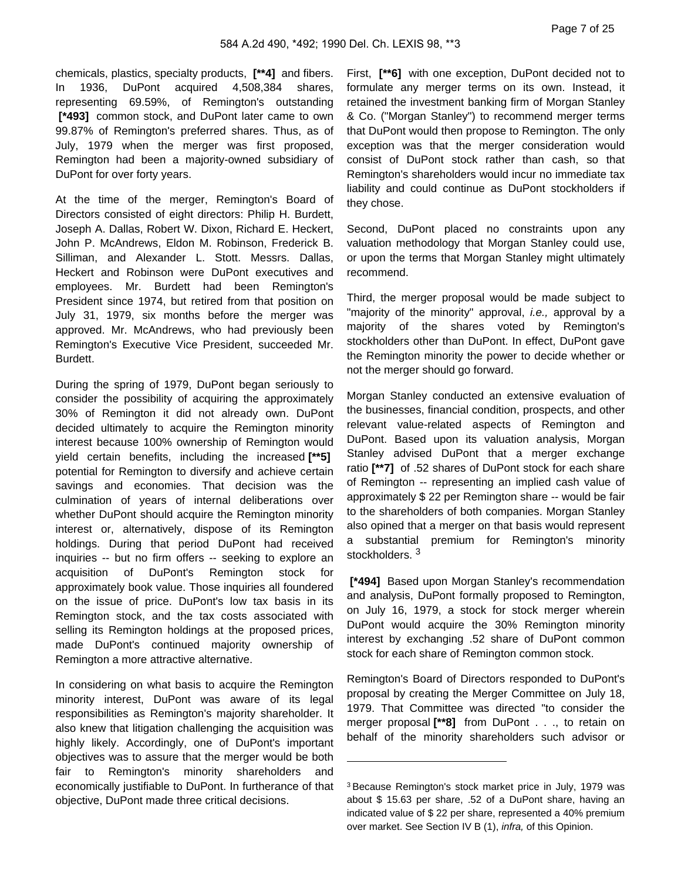chemicals, plastics, specialty products, **[\*\*4]** and fibers. In 1936, DuPont acquired 4,508,384 shares, representing 69.59%, of Remington's outstanding  **[\*493]** common stock, and DuPont later came to own 99.87% of Remington's preferred shares. Thus, as of July, 1979 when the merger was first proposed, Remington had been a majority-owned subsidiary of DuPont for over forty years.

At the time of the merger, Remington's Board of Directors consisted of eight directors: Philip H. Burdett, Joseph A. Dallas, Robert W. Dixon, Richard E. Heckert, John P. McAndrews, Eldon M. Robinson, Frederick B. Silliman, and Alexander L. Stott. Messrs. Dallas, Heckert and Robinson were DuPont executives and employees. Mr. Burdett had been Remington's President since 1974, but retired from that position on July 31, 1979, six months before the merger was approved. Mr. McAndrews, who had previously been Remington's Executive Vice President, succeeded Mr. Burdett.

During the spring of 1979, DuPont began seriously to consider the possibility of acquiring the approximately 30% of Remington it did not already own. DuPont decided ultimately to acquire the Remington minority interest because 100% ownership of Remington would yield certain benefits, including the increased **[\*\*5]**  potential for Remington to diversify and achieve certain savings and economies. That decision was the culmination of years of internal deliberations over whether DuPont should acquire the Remington minority interest or, alternatively, dispose of its Remington holdings. During that period DuPont had received inquiries -- but no firm offers -- seeking to explore an acquisition of DuPont's Remington stock for approximately book value. Those inquiries all foundered on the issue of price. DuPont's low tax basis in its Remington stock, and the tax costs associated with selling its Remington holdings at the proposed prices, made DuPont's continued majority ownership of Remington a more attractive alternative.

In considering on what basis to acquire the Remington minority interest, DuPont was aware of its legal responsibilities as Remington's majority shareholder. It also knew that litigation challenging the acquisition was highly likely. Accordingly, one of DuPont's important objectives was to assure that the merger would be both fair to Remington's minority shareholders and economically justifiable to DuPont. In furtherance of that objective, DuPont made three critical decisions.

First, **[\*\*6]** with one exception, DuPont decided not to formulate any merger terms on its own. Instead, it retained the investment banking firm of Morgan Stanley & Co. ("Morgan Stanley") to recommend merger terms that DuPont would then propose to Remington. The only exception was that the merger consideration would consist of DuPont stock rather than cash, so that Remington's shareholders would incur no immediate tax liability and could continue as DuPont stockholders if they chose.

Second, DuPont placed no constraints upon any valuation methodology that Morgan Stanley could use, or upon the terms that Morgan Stanley might ultimately recommend.

Third, the merger proposal would be made subject to "majority of the minority" approval, i.e., approval by a majority of the shares voted by Remington's stockholders other than DuPont. In effect, DuPont gave the Remington minority the power to decide whether or not the merger should go forward.

Morgan Stanley conducted an extensive evaluation of the businesses, financial condition, prospects, and other relevant value-related aspects of Remington and DuPont. Based upon its valuation analysis, Morgan Stanley advised DuPont that a merger exchange ratio **[\*\*7]** of .52 shares of DuPont stock for each share of Remington -- representing an implied cash value of approximately \$ 22 per Remington share -- would be fair to the shareholders of both companies. Morgan Stanley also opined that a merger on that basis would represent a substantial premium for Remington's minority stockholders.<sup>3</sup>

 **[\*494]** Based upon Morgan Stanley's recommendation and analysis, DuPont formally proposed to Remington, on July 16, 1979, a stock for stock merger wherein DuPont would acquire the 30% Remington minority interest by exchanging .52 share of DuPont common stock for each share of Remington common stock.

Remington's Board of Directors responded to DuPont's proposal by creating the Merger Committee on July 18, 1979. That Committee was directed "to consider the merger proposal **[\*\*8]** from DuPont . . ., to retain on behalf of the minority shareholders such advisor or

<sup>3</sup>Because Remington's stock market price in July, 1979 was about \$ 15.63 per share, .52 of a DuPont share, having an indicated value of \$ 22 per share, represented a 40% premium over market. See Section IV B (1), infra, of this Opinion.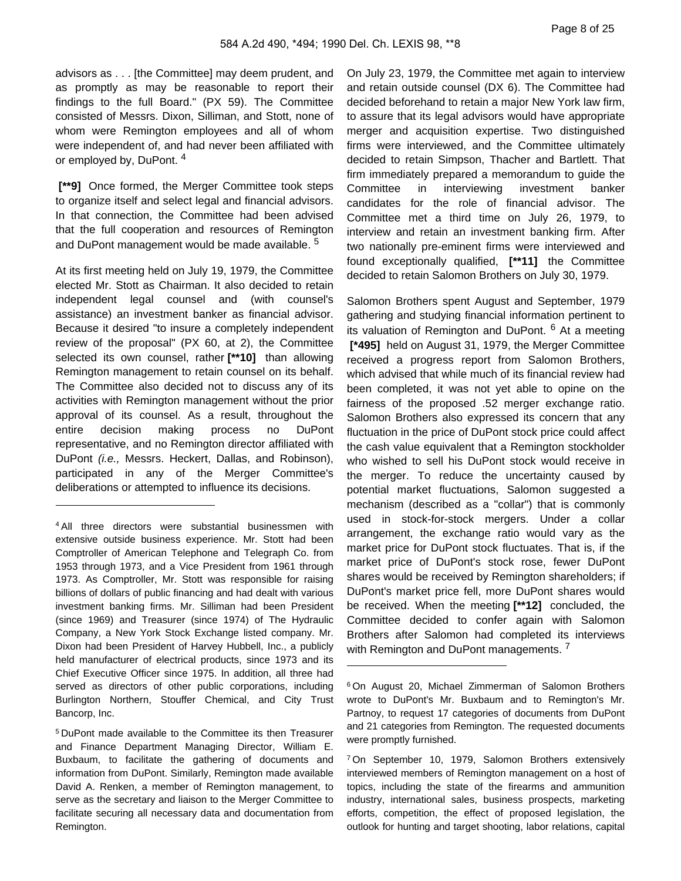advisors as . . . [the Committee] may deem prudent, and as promptly as may be reasonable to report their findings to the full Board." (PX 59). The Committee consisted of Messrs. Dixon, Silliman, and Stott, none of whom were Remington employees and all of whom were independent of, and had never been affiliated with or employed by, DuPont. <sup>4</sup>

 **[\*\*9]** Once formed, the Merger Committee took steps to organize itself and select legal and financial advisors. In that connection, the Committee had been advised that the full cooperation and resources of Remington and DuPont management would be made available.<sup>5</sup>

At its first meeting held on July 19, 1979, the Committee elected Mr. Stott as Chairman. It also decided to retain independent legal counsel and (with counsel's assistance) an investment banker as financial advisor. Because it desired "to insure a completely independent review of the proposal" (PX 60, at 2), the Committee selected its own counsel, rather **[\*\*10]** than allowing Remington management to retain counsel on its behalf. The Committee also decided not to discuss any of its activities with Remington management without the prior approval of its counsel. As a result, throughout the entire decision making process no DuPont representative, and no Remington director affiliated with DuPont (i.e., Messrs. Heckert, Dallas, and Robinson), participated in any of the Merger Committee's deliberations or attempted to influence its decisions.

On July 23, 1979, the Committee met again to interview and retain outside counsel (DX 6). The Committee had decided beforehand to retain a major New York law firm, to assure that its legal advisors would have appropriate merger and acquisition expertise. Two distinguished firms were interviewed, and the Committee ultimately decided to retain Simpson, Thacher and Bartlett. That firm immediately prepared a memorandum to guide the Committee in interviewing investment banker candidates for the role of financial advisor. The Committee met a third time on July 26, 1979, to interview and retain an investment banking firm. After two nationally pre-eminent firms were interviewed and found exceptionally qualified, **[\*\*11]** the Committee decided to retain Salomon Brothers on July 30, 1979.

Salomon Brothers spent August and September, 1979 gathering and studying financial information pertinent to its valuation of Remington and DuPont. <sup>6</sup> At a meeting  **[\*495]** held on August 31, 1979, the Merger Committee received a progress report from Salomon Brothers, which advised that while much of its financial review had been completed, it was not yet able to opine on the fairness of the proposed .52 merger exchange ratio. Salomon Brothers also expressed its concern that any fluctuation in the price of DuPont stock price could affect the cash value equivalent that a Remington stockholder who wished to sell his DuPont stock would receive in the merger. To reduce the uncertainty caused by potential market fluctuations, Salomon suggested a mechanism (described as a "collar") that is commonly used in stock-for-stock mergers. Under a collar arrangement, the exchange ratio would vary as the market price for DuPont stock fluctuates. That is, if the market price of DuPont's stock rose, fewer DuPont shares would be received by Remington shareholders; if DuPont's market price fell, more DuPont shares would be received. When the meeting **[\*\*12]** concluded, the Committee decided to confer again with Salomon Brothers after Salomon had completed its interviews with Remington and DuPont managements.<sup>7</sup>

<sup>4</sup>All three directors were substantial businessmen with extensive outside business experience. Mr. Stott had been Comptroller of American Telephone and Telegraph Co. from 1953 through 1973, and a Vice President from 1961 through 1973. As Comptroller, Mr. Stott was responsible for raising billions of dollars of public financing and had dealt with various investment banking firms. Mr. Silliman had been President (since 1969) and Treasurer (since 1974) of The Hydraulic Company, a New York Stock Exchange listed company. Mr. Dixon had been President of Harvey Hubbell, Inc., a publicly held manufacturer of electrical products, since 1973 and its Chief Executive Officer since 1975. In addition, all three had served as directors of other public corporations, including Burlington Northern, Stouffer Chemical, and City Trust Bancorp, Inc.

<sup>5</sup>DuPont made available to the Committee its then Treasurer and Finance Department Managing Director, William E. Buxbaum, to facilitate the gathering of documents and information from DuPont. Similarly, Remington made available David A. Renken, a member of Remington management, to serve as the secretary and liaison to the Merger Committee to facilitate securing all necessary data and documentation from Remington.

<sup>6</sup>On August 20, Michael Zimmerman of Salomon Brothers wrote to DuPont's Mr. Buxbaum and to Remington's Mr. Partnoy, to request 17 categories of documents from DuPont and 21 categories from Remington. The requested documents were promptly furnished.

<sup>7</sup>On September 10, 1979, Salomon Brothers extensively interviewed members of Remington management on a host of topics, including the state of the firearms and ammunition industry, international sales, business prospects, marketing efforts, competition, the effect of proposed legislation, the outlook for hunting and target shooting, labor relations, capital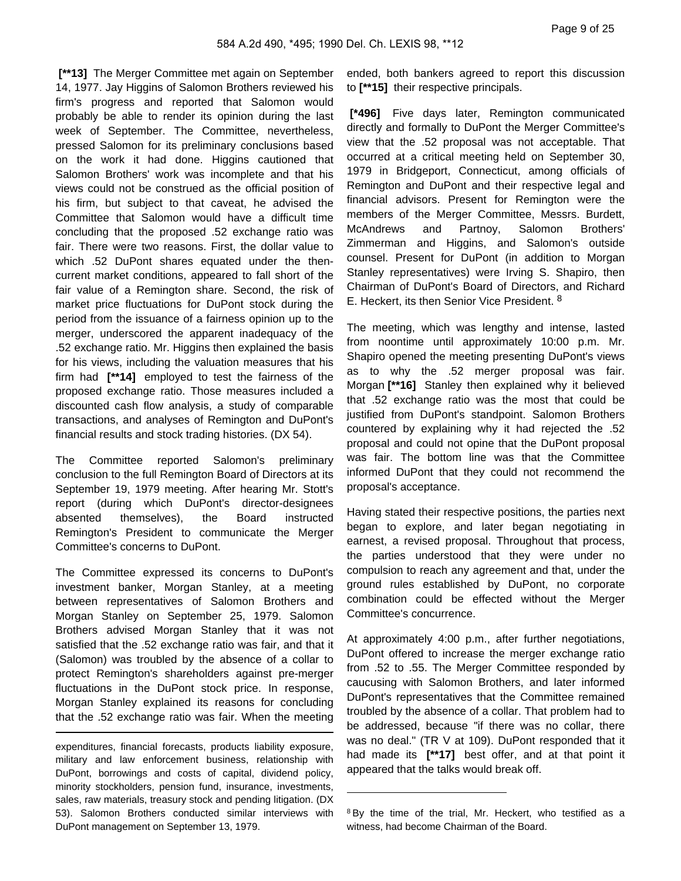**[\*\*13]** The Merger Committee met again on September 14, 1977. Jay Higgins of Salomon Brothers reviewed his firm's progress and reported that Salomon would probably be able to render its opinion during the last week of September. The Committee, nevertheless, pressed Salomon for its preliminary conclusions based on the work it had done. Higgins cautioned that Salomon Brothers' work was incomplete and that his views could not be construed as the official position of his firm, but subject to that caveat, he advised the Committee that Salomon would have a difficult time concluding that the proposed .52 exchange ratio was fair. There were two reasons. First, the dollar value to which .52 DuPont shares equated under the thencurrent market conditions, appeared to fall short of the fair value of a Remington share. Second, the risk of market price fluctuations for DuPont stock during the period from the issuance of a fairness opinion up to the merger, underscored the apparent inadequacy of the .52 exchange ratio. Mr. Higgins then explained the basis for his views, including the valuation measures that his firm had **[\*\*14]** employed to test the fairness of the proposed exchange ratio. Those measures included a discounted cash flow analysis, a study of comparable transactions, and analyses of Remington and DuPont's financial results and stock trading histories. (DX 54).

The Committee reported Salomon's preliminary conclusion to the full Remington Board of Directors at its September 19, 1979 meeting. After hearing Mr. Stott's report (during which DuPont's director-designees absented themselves), the Board instructed Remington's President to communicate the Merger Committee's concerns to DuPont.

The Committee expressed its concerns to DuPont's investment banker, Morgan Stanley, at a meeting between representatives of Salomon Brothers and Morgan Stanley on September 25, 1979. Salomon Brothers advised Morgan Stanley that it was not satisfied that the .52 exchange ratio was fair, and that it (Salomon) was troubled by the absence of a collar to protect Remington's shareholders against pre-merger fluctuations in the DuPont stock price. In response, Morgan Stanley explained its reasons for concluding that the .52 exchange ratio was fair. When the meeting

expenditures, financial forecasts, products liability exposure, military and law enforcement business, relationship with DuPont, borrowings and costs of capital, dividend policy, minority stockholders, pension fund, insurance, investments, sales, raw materials, treasury stock and pending litigation. (DX 53). Salomon Brothers conducted similar interviews with DuPont management on September 13, 1979.

ended, both bankers agreed to report this discussion to **[\*\*15]** their respective principals.

 **[\*496]** Five days later, Remington communicated directly and formally to DuPont the Merger Committee's view that the .52 proposal was not acceptable. That occurred at a critical meeting held on September 30, 1979 in Bridgeport, Connecticut, among officials of Remington and DuPont and their respective legal and financial advisors. Present for Remington were the members of the Merger Committee, Messrs. Burdett, McAndrews and Partnoy, Salomon Brothers' Zimmerman and Higgins, and Salomon's outside counsel. Present for DuPont (in addition to Morgan Stanley representatives) were Irving S. Shapiro, then Chairman of DuPont's Board of Directors, and Richard E. Heckert, its then Senior Vice President. <sup>8</sup>

The meeting, which was lengthy and intense, lasted from noontime until approximately 10:00 p.m. Mr. Shapiro opened the meeting presenting DuPont's views as to why the .52 merger proposal was fair. Morgan **[\*\*16]** Stanley then explained why it believed that .52 exchange ratio was the most that could be justified from DuPont's standpoint. Salomon Brothers countered by explaining why it had rejected the .52 proposal and could not opine that the DuPont proposal was fair. The bottom line was that the Committee informed DuPont that they could not recommend the proposal's acceptance.

Having stated their respective positions, the parties next began to explore, and later began negotiating in earnest, a revised proposal. Throughout that process, the parties understood that they were under no compulsion to reach any agreement and that, under the ground rules established by DuPont, no corporate combination could be effected without the Merger Committee's concurrence.

At approximately 4:00 p.m., after further negotiations, DuPont offered to increase the merger exchange ratio from .52 to .55. The Merger Committee responded by caucusing with Salomon Brothers, and later informed DuPont's representatives that the Committee remained troubled by the absence of a collar. That problem had to be addressed, because "if there was no collar, there was no deal." (TR V at 109). DuPont responded that it had made its **[\*\*17]** best offer, and at that point it appeared that the talks would break off.

<sup>&</sup>lt;sup>8</sup>By the time of the trial, Mr. Heckert, who testified as a witness, had become Chairman of the Board.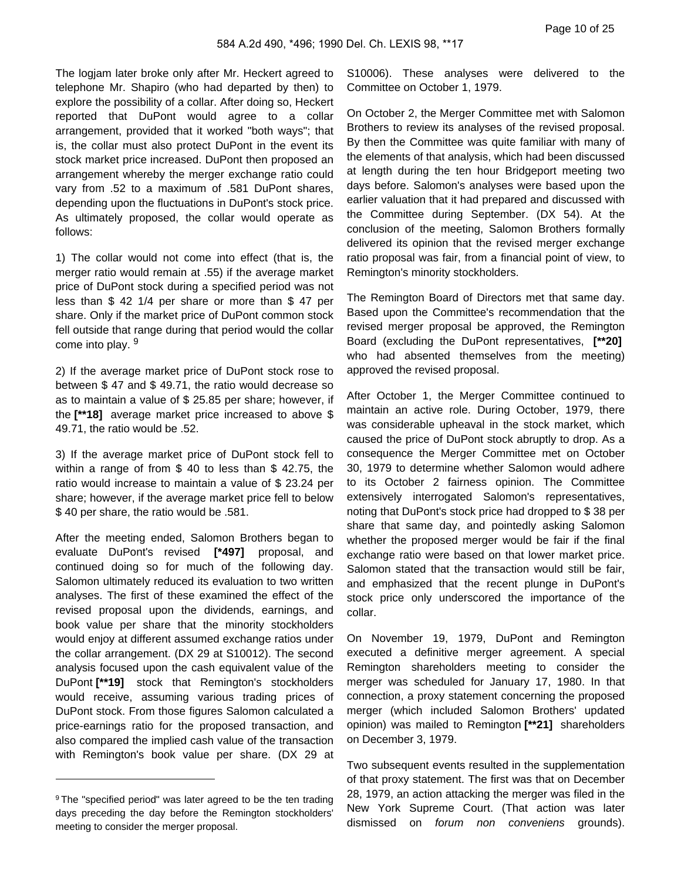The logjam later broke only after Mr. Heckert agreed to telephone Mr. Shapiro (who had departed by then) to explore the possibility of a collar. After doing so, Heckert reported that DuPont would agree to a collar arrangement, provided that it worked "both ways"; that is, the collar must also protect DuPont in the event its stock market price increased. DuPont then proposed an arrangement whereby the merger exchange ratio could vary from .52 to a maximum of .581 DuPont shares, depending upon the fluctuations in DuPont's stock price. As ultimately proposed, the collar would operate as follows:

1) The collar would not come into effect (that is, the merger ratio would remain at .55) if the average market price of DuPont stock during a specified period was not less than \$ 42 1/4 per share or more than \$ 47 per share. Only if the market price of DuPont common stock fell outside that range during that period would the collar come into play. <sup>9</sup>

2) If the average market price of DuPont stock rose to between \$ 47 and \$ 49.71, the ratio would decrease so as to maintain a value of \$ 25.85 per share; however, if the **[\*\*18]** average market price increased to above \$ 49.71, the ratio would be .52.

3) If the average market price of DuPont stock fell to within a range of from \$ 40 to less than \$ 42.75, the ratio would increase to maintain a value of \$ 23.24 per share; however, if the average market price fell to below \$ 40 per share, the ratio would be .581.

After the meeting ended, Salomon Brothers began to evaluate DuPont's revised **[\*497]** proposal, and continued doing so for much of the following day. Salomon ultimately reduced its evaluation to two written analyses. The first of these examined the effect of the revised proposal upon the dividends, earnings, and book value per share that the minority stockholders would enjoy at different assumed exchange ratios under the collar arrangement. (DX 29 at S10012). The second analysis focused upon the cash equivalent value of the DuPont **[\*\*19]** stock that Remington's stockholders would receive, assuming various trading prices of DuPont stock. From those figures Salomon calculated a price-earnings ratio for the proposed transaction, and also compared the implied cash value of the transaction with Remington's book value per share. (DX 29 at S10006). These analyses were delivered to the Committee on October 1, 1979.

On October 2, the Merger Committee met with Salomon Brothers to review its analyses of the revised proposal. By then the Committee was quite familiar with many of the elements of that analysis, which had been discussed at length during the ten hour Bridgeport meeting two days before. Salomon's analyses were based upon the earlier valuation that it had prepared and discussed with the Committee during September. (DX 54). At the conclusion of the meeting, Salomon Brothers formally delivered its opinion that the revised merger exchange ratio proposal was fair, from a financial point of view, to Remington's minority stockholders.

The Remington Board of Directors met that same day. Based upon the Committee's recommendation that the revised merger proposal be approved, the Remington Board (excluding the DuPont representatives, **[\*\*20]**  who had absented themselves from the meeting) approved the revised proposal.

After October 1, the Merger Committee continued to maintain an active role. During October, 1979, there was considerable upheaval in the stock market, which caused the price of DuPont stock abruptly to drop. As a consequence the Merger Committee met on October 30, 1979 to determine whether Salomon would adhere to its October 2 fairness opinion. The Committee extensively interrogated Salomon's representatives, noting that DuPont's stock price had dropped to \$ 38 per share that same day, and pointedly asking Salomon whether the proposed merger would be fair if the final exchange ratio were based on that lower market price. Salomon stated that the transaction would still be fair, and emphasized that the recent plunge in DuPont's stock price only underscored the importance of the collar.

On November 19, 1979, DuPont and Remington executed a definitive merger agreement. A special Remington shareholders meeting to consider the merger was scheduled for January 17, 1980. In that connection, a proxy statement concerning the proposed merger (which included Salomon Brothers' updated opinion) was mailed to Remington **[\*\*21]** shareholders on December 3, 1979.

Two subsequent events resulted in the supplementation of that proxy statement. The first was that on December 28, 1979, an action attacking the merger was filed in the New York Supreme Court. (That action was later dismissed on *forum non conveniens* grounds).

<sup>&</sup>lt;sup>9</sup>The "specified period" was later agreed to be the ten trading days preceding the day before the Remington stockholders' meeting to consider the merger proposal.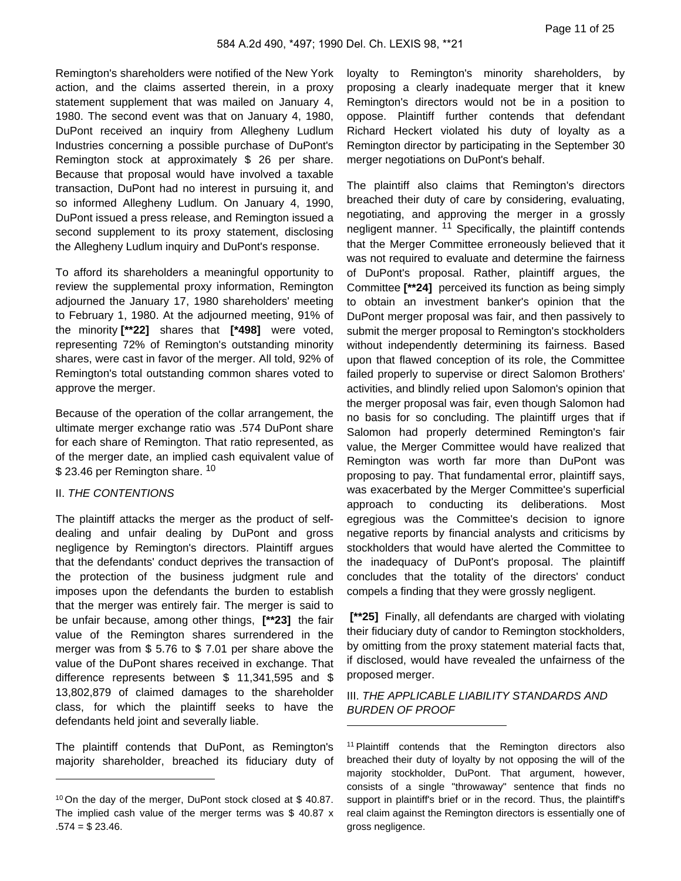Remington's shareholders were notified of the New York action, and the claims asserted therein, in a proxy statement supplement that was mailed on January 4, 1980. The second event was that on January 4, 1980, DuPont received an inquiry from Allegheny Ludlum Industries concerning a possible purchase of DuPont's Remington stock at approximately \$ 26 per share. Because that proposal would have involved a taxable transaction, DuPont had no interest in pursuing it, and so informed Allegheny Ludlum. On January 4, 1990, DuPont issued a press release, and Remington issued a second supplement to its proxy statement, disclosing the Allegheny Ludlum inquiry and DuPont's response.

To afford its shareholders a meaningful opportunity to review the supplemental proxy information, Remington adjourned the January 17, 1980 shareholders' meeting to February 1, 1980. At the adjourned meeting, 91% of the minority **[\*\*22]** shares that **[\*498]** were voted, representing 72% of Remington's outstanding minority shares, were cast in favor of the merger. All told, 92% of Remington's total outstanding common shares voted to approve the merger.

Because of the operation of the collar arrangement, the ultimate merger exchange ratio was .574 DuPont share for each share of Remington. That ratio represented, as of the merger date, an implied cash equivalent value of \$23.46 per Remington share. <sup>10</sup>

#### II. THE CONTENTIONS

The plaintiff attacks the merger as the product of selfdealing and unfair dealing by DuPont and gross negligence by Remington's directors. Plaintiff argues that the defendants' conduct deprives the transaction of the protection of the business judgment rule and imposes upon the defendants the burden to establish that the merger was entirely fair. The merger is said to be unfair because, among other things, **[\*\*23]** the fair value of the Remington shares surrendered in the merger was from \$ 5.76 to \$ 7.01 per share above the value of the DuPont shares received in exchange. That difference represents between \$ 11,341,595 and \$ 13,802,879 of claimed damages to the shareholder class, for which the plaintiff seeks to have the defendants held joint and severally liable.

The plaintiff contends that DuPont, as Remington's majority shareholder, breached its fiduciary duty of loyalty to Remington's minority shareholders, by proposing a clearly inadequate merger that it knew Remington's directors would not be in a position to oppose. Plaintiff further contends that defendant Richard Heckert violated his duty of loyalty as a Remington director by participating in the September 30 merger negotiations on DuPont's behalf.

The plaintiff also claims that Remington's directors breached their duty of care by considering, evaluating, negotiating, and approving the merger in a grossly negligent manner. <sup>11</sup> Specifically, the plaintiff contends that the Merger Committee erroneously believed that it was not required to evaluate and determine the fairness of DuPont's proposal. Rather, plaintiff argues, the Committee **[\*\*24]** perceived its function as being simply to obtain an investment banker's opinion that the DuPont merger proposal was fair, and then passively to submit the merger proposal to Remington's stockholders without independently determining its fairness. Based upon that flawed conception of its role, the Committee failed properly to supervise or direct Salomon Brothers' activities, and blindly relied upon Salomon's opinion that the merger proposal was fair, even though Salomon had no basis for so concluding. The plaintiff urges that if Salomon had properly determined Remington's fair value, the Merger Committee would have realized that Remington was worth far more than DuPont was proposing to pay. That fundamental error, plaintiff says, was exacerbated by the Merger Committee's superficial approach to conducting its deliberations. Most egregious was the Committee's decision to ignore negative reports by financial analysts and criticisms by stockholders that would have alerted the Committee to the inadequacy of DuPont's proposal. The plaintiff concludes that the totality of the directors' conduct compels a finding that they were grossly negligent.

 **[\*\*25]** Finally, all defendants are charged with violating their fiduciary duty of candor to Remington stockholders, by omitting from the proxy statement material facts that, if disclosed, would have revealed the unfairness of the proposed merger.

III. THE APPLICABLE LIABILITY STANDARDS AND BURDEN OF PROOF

<sup>11</sup>Plaintiff contends that the Remington directors also breached their duty of loyalty by not opposing the will of the majority stockholder, DuPont. That argument, however, consists of a single "throwaway" sentence that finds no support in plaintiff's brief or in the record. Thus, the plaintiff's real claim against the Remington directors is essentially one of gross negligence.

<sup>10</sup>On the day of the merger, DuPont stock closed at \$ 40.87. The implied cash value of the merger terms was \$ 40.87 x  $.574 = $23.46.$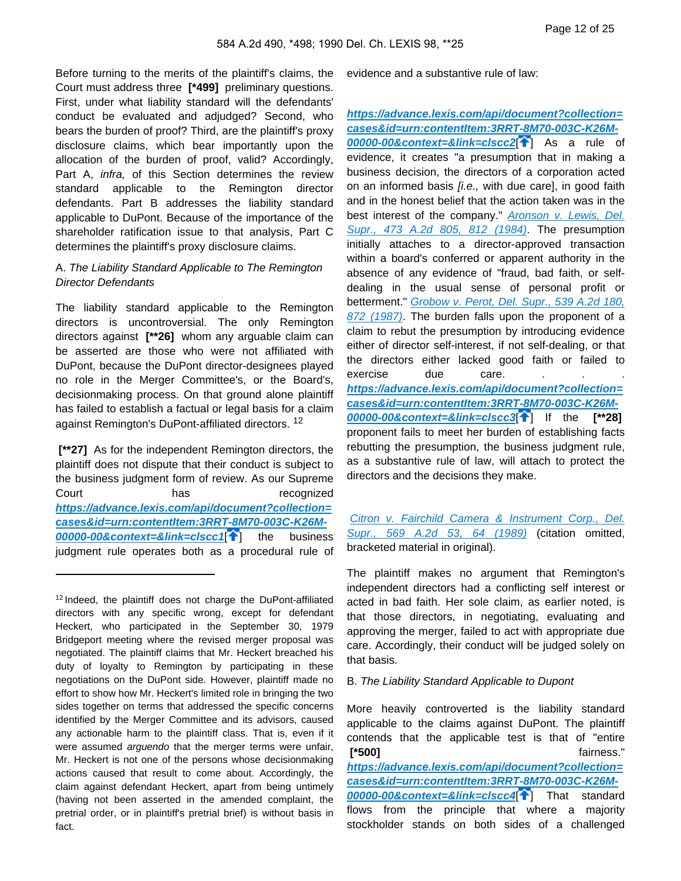Before turning to the merits of the plaintiff's claims, the Court must address three **[\*499]** preliminary questions. First, under what liability standard will the defendants' conduct be evaluated and adjudged? Second, who bears the burden of proof? Third, are the plaintiff's proxy disclosure claims, which bear importantly upon the allocation of the burden of proof, valid? Accordingly, Part A, infra, of this Section determines the review standard applicable to the Remington director defendants. Part B addresses the liability standard applicable to DuPont. Because of the importance of the shareholder ratification issue to that analysis, Part C determines the plaintiff's proxy disclosure claims.

## A. The Liability Standard Applicable to The Remington Director Defendants

The liability standard applicable to the Remington directors is uncontroversial. The only Remington directors against **[\*\*26]** whom any arguable claim can be asserted are those who were not affiliated with DuPont, because the DuPont director-designees played no role in the Merger Committee's, or the Board's, decisionmaking process. On that ground alone plaintiff has failed to establish a factual or legal basis for a claim against Remington's DuPont-affiliated directors. <sup>12</sup>

<span id="page-11-0"></span> **[\*\*27]** As for the independent Remington directors, the plaintiff does not dispute that their conduct is subject to the business judgment form of review. As our Supreme Court has has recognized **[https://advance.lexis.com/api/document?collection=](https://advance.lexis.com/api/document?collection=cases&id=urn:contentItem:3RRT-8M70-003C-K26M-00000-00&context=&link=clscc1) [cases&id=urn:contentItem:3RRT-8M70-003C-K26M-](https://advance.lexis.com/api/document?collection=cases&id=urn:contentItem:3RRT-8M70-003C-K26M-00000-00&context=&link=clscc1)[00000-00&context=&link=clscc1](https://advance.lexis.com/api/document?collection=cases&id=urn:contentItem:3RRT-8M70-003C-K26M-00000-00&context=&link=clscc1)**[ ] the business judgment rule operates both as a procedural rule of evidence and a substantive rule of law:

<span id="page-11-1"></span>**[https://advance.lexis.com/api/document?collection=](https://advance.lexis.com/api/document?collection=cases&id=urn:contentItem:3RRT-8M70-003C-K26M-00000-00&context=&link=clscc2) [cases&id=urn:contentItem:3RRT-8M70-003C-K26M-](https://advance.lexis.com/api/document?collection=cases&id=urn:contentItem:3RRT-8M70-003C-K26M-00000-00&context=&link=clscc2)[00000-00&context=&link=clscc2](https://advance.lexis.com/api/document?collection=cases&id=urn:contentItem:3RRT-8M70-003C-K26M-00000-00&context=&link=clscc2)**[ ] As a rule of evidence, it creates "a presumption that in making a business decision, the directors of a corporation acted on an informed basis *[i.e.,* with due care], in good faith and in the honest belief that the action taken was in the best interest of the company." Aronson v. Lewis, Del. [Supr., 473 A.2d 805, 812 \(1984\)](https://advance.lexis.com/api/document?collection=cases&id=urn:contentItem:3RRT-7N20-003C-K1FR-00000-00&context=). The presumption initially attaches to a director-approved transaction within a board's conferred or apparent authority in the absence of any evidence of "fraud, bad faith, or selfdealing in the usual sense of personal profit or betterment." [Grobow v. Perot, Del. Supr., 539 A.2d 180,](https://advance.lexis.com/api/document?collection=cases&id=urn:contentItem:3RRT-7F20-003C-K037-00000-00&context=)  [872 \(1987\)](https://advance.lexis.com/api/document?collection=cases&id=urn:contentItem:3RRT-7F20-003C-K037-00000-00&context=). The burden falls upon the proponent of a claim to rebut the presumption by introducing evidence either of director self-interest, if not self-dealing, or that the directors either lacked good faith or failed to exercise due care. **[https://advance.lexis.com/api/document?collection=](https://advance.lexis.com/api/document?collection=cases&id=urn:contentItem:3RRT-8M70-003C-K26M-00000-00&context=&link=clscc3) [cases&id=urn:contentItem:3RRT-8M70-003C-K26M-](https://advance.lexis.com/api/document?collection=cases&id=urn:contentItem:3RRT-8M70-003C-K26M-00000-00&context=&link=clscc3)[00000-00&context=&link=clscc3](https://advance.lexis.com/api/document?collection=cases&id=urn:contentItem:3RRT-8M70-003C-K26M-00000-00&context=&link=clscc3)**[ ] If the **[\*\*28]**  proponent fails to meet her burden of establishing facts rebutting the presumption, the business judgment rule, as a substantive rule of law, will attach to protect the directors and the decisions they make.

<span id="page-11-2"></span>[Citron v. Fairchild Camera & Instrument Corp., Del.](https://advance.lexis.com/api/document?collection=cases&id=urn:contentItem:3RRT-78S0-003C-K48M-00000-00&context=)  [Supr., 569 A.2d 53, 64 \(1989\)](https://advance.lexis.com/api/document?collection=cases&id=urn:contentItem:3RRT-78S0-003C-K48M-00000-00&context=) (citation omitted, bracketed material in original).

The plaintiff makes no argument that Remington's independent directors had a conflicting self interest or acted in bad faith. Her sole claim, as earlier noted, is that those directors, in negotiating, evaluating and approving the merger, failed to act with appropriate due care. Accordingly, their conduct will be judged solely on that basis.

#### B. The Liability Standard Applicable to Dupont

More heavily controverted is the liability standard applicable to the claims against DuPont. The plaintiff contends that the applicable test is that of "entire  **[\*500]** fairness." **[https://advance.lexis.com/api/document?collection=](https://advance.lexis.com/api/document?collection=cases&id=urn:contentItem:3RRT-8M70-003C-K26M-00000-00&context=&link=clscc4)**

<span id="page-11-3"></span>**[cases&id=urn:contentItem:3RRT-8M70-003C-K26M-](https://advance.lexis.com/api/document?collection=cases&id=urn:contentItem:3RRT-8M70-003C-K26M-00000-00&context=&link=clscc4)[00000-00&context=&link=clscc4](https://advance.lexis.com/api/document?collection=cases&id=urn:contentItem:3RRT-8M70-003C-K26M-00000-00&context=&link=clscc4)**[ ] That standard flows from the principle that where a majority stockholder stands on both sides of a challenged

<sup>&</sup>lt;sup>12</sup> Indeed, the plaintiff does not charge the DuPont-affiliated directors with any specific wrong, except for defendant Heckert, who participated in the September 30, 1979 Bridgeport meeting where the revised merger proposal was negotiated. The plaintiff claims that Mr. Heckert breached his duty of loyalty to Remington by participating in these negotiations on the DuPont side. However, plaintiff made no effort to show how Mr. Heckert's limited role in bringing the two sides together on terms that addressed the specific concerns identified by the Merger Committee and its advisors, caused any actionable harm to the plaintiff class. That is, even if it were assumed arguendo that the merger terms were unfair, Mr. Heckert is not one of the persons whose decisionmaking actions caused that result to come about. Accordingly, the claim against defendant Heckert, apart from being untimely (having not been asserted in the amended complaint, the pretrial order, or in plaintiff's pretrial brief) is without basis in fact.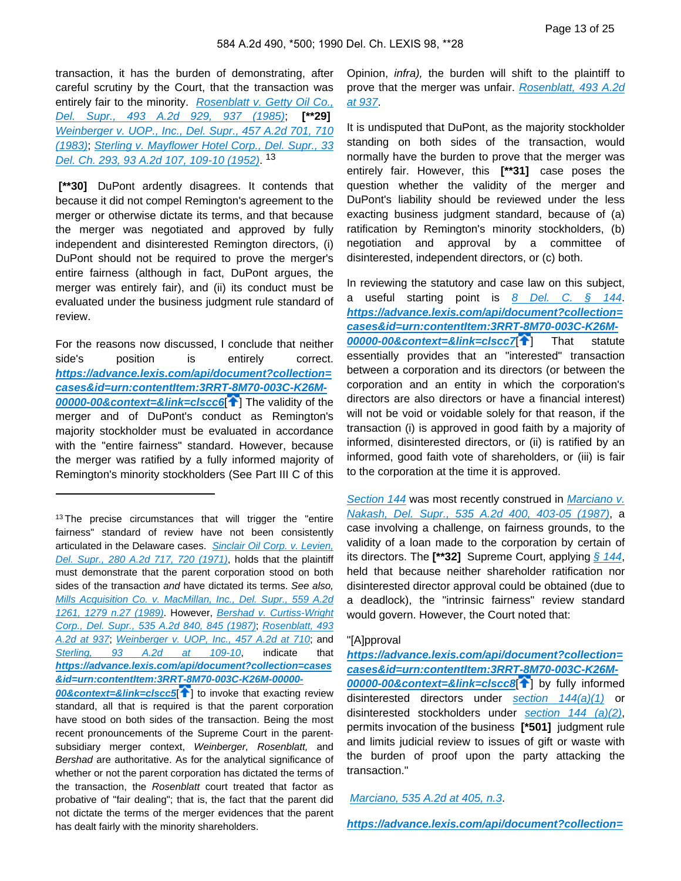transaction, it has the burden of demonstrating, after careful scrutiny by the Court, that the transaction was entirely fair to the minority. Rosenblatt v. Getty Oil Co., [Del. Supr., 493 A.2d 929, 937 \(1985\)](https://advance.lexis.com/api/document?collection=cases&id=urn:contentItem:3RRT-7KY0-003C-K17J-00000-00&context=); **[\*\*29]**  [Weinberger v. UOP., Inc., Del. Supr., 457 A.2d 701, 710](https://advance.lexis.com/api/document?collection=cases&id=urn:contentItem:3RRT-7P40-003C-K1P9-00000-00&context=)  [\(1983\)](https://advance.lexis.com/api/document?collection=cases&id=urn:contentItem:3RRT-7P40-003C-K1P9-00000-00&context=); [Sterling v. Mayflower Hotel Corp., Del. Supr., 33](https://advance.lexis.com/api/document?collection=cases&id=urn:contentItem:3RRT-8870-003C-K0C1-00000-00&context=)  [Del. Ch. 293, 93 A.2d 107, 109-10 \(1952\)](https://advance.lexis.com/api/document?collection=cases&id=urn:contentItem:3RRT-8870-003C-K0C1-00000-00&context=). <sup>13</sup>

 **[\*\*30]** DuPont ardently disagrees. It contends that because it did not compel Remington's agreement to the merger or otherwise dictate its terms, and that because the merger was negotiated and approved by fully independent and disinterested Remington directors, (i) DuPont should not be required to prove the merger's entire fairness (although in fact, DuPont argues, the merger was entirely fair), and (ii) its conduct must be evaluated under the business judgment rule standard of review.

<span id="page-12-1"></span>For the reasons now discussed, I conclude that neither side's position is entirely correct. **[https://advance.lexis.com/api/document?collection=](https://advance.lexis.com/api/document?collection=cases&id=urn:contentItem:3RRT-8M70-003C-K26M-00000-00&context=&link=clscc6) [cases&id=urn:contentItem:3RRT-8M70-003C-K26M-](https://advance.lexis.com/api/document?collection=cases&id=urn:contentItem:3RRT-8M70-003C-K26M-00000-00&context=&link=clscc6)[00000-00&context=&link=clscc6](https://advance.lexis.com/api/document?collection=cases&id=urn:contentItem:3RRT-8M70-003C-K26M-00000-00&context=&link=clscc6)**[ ] The validity of the merger and of DuPont's conduct as Remington's majority stockholder must be evaluated in accordance with the "entire fairness" standard. However, because the merger was ratified by a fully informed majority of Remington's minority stockholders (See Part III C of this

<span id="page-12-0"></span>**[00&context=&link=clscc5](https://advance.lexis.com/api/document?collection=cases&id=urn:contentItem:3RRT-8M70-003C-K26M-00000-00&context=&link=clscc5)**<sup>1</sup> to invoke that exacting review standard, all that is required is that the parent corporation have stood on both sides of the transaction. Being the most recent pronouncements of the Supreme Court in the parentsubsidiary merger context, Weinberger, Rosenblatt, and Bershad are authoritative. As for the analytical significance of whether or not the parent corporation has dictated the terms of the transaction, the Rosenblatt court treated that factor as probative of "fair dealing"; that is, the fact that the parent did not dictate the terms of the merger evidences that the parent has dealt fairly with the minority shareholders.

Opinion, infra), the burden will shift to the plaintiff to prove that the merger was unfair. Rosenblatt, 493 A.2d [at 937](https://advance.lexis.com/api/document?collection=cases&id=urn:contentItem:3RRT-7KY0-003C-K17J-00000-00&context=).

It is undisputed that DuPont, as the majority stockholder standing on both sides of the transaction, would normally have the burden to prove that the merger was entirely fair. However, this **[\*\*31]** case poses the question whether the validity of the merger and DuPont's liability should be reviewed under the less exacting business judgment standard, because of (a) ratification by Remington's minority stockholders, (b) negotiation and approval by a committee of disinterested, independent directors, or (c) both.

<span id="page-12-2"></span>In reviewing the statutory and case law on this subject, a useful starting point is  $8$  Del. C.  $\frac{6}{9}$  144. **[https://advance.lexis.com/api/document?collection=](https://advance.lexis.com/api/document?collection=cases&id=urn:contentItem:3RRT-8M70-003C-K26M-00000-00&context=&link=clscc7) [cases&id=urn:contentItem:3RRT-8M70-003C-K26M-](https://advance.lexis.com/api/document?collection=cases&id=urn:contentItem:3RRT-8M70-003C-K26M-00000-00&context=&link=clscc7)[00000-00&context=&link=clscc7](https://advance.lexis.com/api/document?collection=cases&id=urn:contentItem:3RRT-8M70-003C-K26M-00000-00&context=&link=clscc7)**[ ] That statute essentially provides that an "interested" transaction between a corporation and its directors (or between the corporation and an entity in which the corporation's directors are also directors or have a financial interest) will not be void or voidable solely for that reason, if the transaction (i) is approved in good faith by a majority of informed, disinterested directors, or (ii) is ratified by an informed, good faith vote of shareholders, or (iii) is fair to the corporation at the time it is approved.

[Section 144](https://advance.lexis.com/api/document?collection=statutes-legislation&id=urn:contentItem:5SY3-C2H0-004D-41ST-00000-00&context=) was most recently construed in Marciano v. [Nakash, Del. Supr., 535 A.2d 400, 403-05 \(1987\)](https://advance.lexis.com/api/document?collection=cases&id=urn:contentItem:3RRT-7FH0-003C-K066-00000-00&context=), a case involving a challenge, on fairness grounds, to the validity of a loan made to the corporation by certain of its directors. The **[\*\*32]** Supreme Court, applying [§ 144](https://advance.lexis.com/api/document?collection=statutes-legislation&id=urn:contentItem:5SY3-C2H0-004D-41ST-00000-00&context=), held that because neither shareholder ratification nor disinterested director approval could be obtained (due to a deadlock), the "intrinsic fairness" review standard would govern. However, the Court noted that:

#### "[A]pproval

<span id="page-12-3"></span>**[https://advance.lexis.com/api/document?collection=](https://advance.lexis.com/api/document?collection=cases&id=urn:contentItem:3RRT-8M70-003C-K26M-00000-00&context=&link=clscc8) [cases&id=urn:contentItem:3RRT-8M70-003C-K26M-](https://advance.lexis.com/api/document?collection=cases&id=urn:contentItem:3RRT-8M70-003C-K26M-00000-00&context=&link=clscc8)[00000-00&context=&link=clscc8](https://advance.lexis.com/api/document?collection=cases&id=urn:contentItem:3RRT-8M70-003C-K26M-00000-00&context=&link=clscc8)**<sup>[1]</sup> by fully informed disinterested directors under section  $144(a)(1)$  or disinterested stockholders under [section 144 \(a\)\(2\)](https://advance.lexis.com/api/document?collection=statutes-legislation&id=urn:contentItem:5SY3-C2H0-004D-41ST-00000-00&context=), permits invocation of the business **[\*501]** judgment rule and limits judicial review to issues of gift or waste with the burden of proof upon the party attacking the transaction."

#### <span id="page-12-4"></span>[Marciano, 535 A.2d at 405, n.3](https://advance.lexis.com/api/document?collection=cases&id=urn:contentItem:3RRT-7FH0-003C-K066-00000-00&context=).

**[https://advance.lexis.com/api/document?collection=](https://advance.lexis.com/api/document?collection=cases&id=urn:contentItem:3RRT-8M70-003C-K26M-00000-00&context=&link=clscc9)**

<sup>&</sup>lt;sup>13</sup>The precise circumstances that will trigger the "entire" fairness" standard of review have not been consistently articulated in the Delaware cases. Sinclair Oil Corp. v. Levien, [Del. Supr., 280 A.2d 717, 720 \(1971\)](https://advance.lexis.com/api/document?collection=cases&id=urn:contentItem:3RRT-8290-003C-K46G-00000-00&context=), holds that the plaintiff must demonstrate that the parent corporation stood on both sides of the transaction and have dictated its terms. See also, [Mills Acquisition Co. v. MacMillan, Inc., Del. Supr., 559 A.2d](https://advance.lexis.com/api/document?collection=cases&id=urn:contentItem:3RRT-7BG0-003C-K4NT-00000-00&context=)  [1261, 1279 n.27 \(1989\)](https://advance.lexis.com/api/document?collection=cases&id=urn:contentItem:3RRT-7BG0-003C-K4NT-00000-00&context=). However, [Bershad v. Curtiss-Wright](https://advance.lexis.com/api/document?collection=cases&id=urn:contentItem:3RRT-7FG0-003C-K05X-00000-00&context=)  [Corp., Del. Supr., 535 A.2d 840, 845 \(1987\)](https://advance.lexis.com/api/document?collection=cases&id=urn:contentItem:3RRT-7FG0-003C-K05X-00000-00&context=); [Rosenblatt, 493](https://advance.lexis.com/api/document?collection=cases&id=urn:contentItem:3RRT-7KY0-003C-K17J-00000-00&context=)  [A.2d at 937](https://advance.lexis.com/api/document?collection=cases&id=urn:contentItem:3RRT-7KY0-003C-K17J-00000-00&context=); [Weinberger v. UOP, Inc., 457 A.2d at 710](https://advance.lexis.com/api/document?collection=cases&id=urn:contentItem:3RRT-7P40-003C-K1P9-00000-00&context=); and [Sterling, 93 A.2d at 109-10](https://advance.lexis.com/api/document?collection=cases&id=urn:contentItem:3RRT-8870-003C-K0C1-00000-00&context=), indicate that **[https://advance.lexis.com/api/document?collection=cases](https://advance.lexis.com/api/document?collection=cases&id=urn:contentItem:3RRT-8M70-003C-K26M-00000-00&context=&link=clscc5) [&id=urn:contentItem:3RRT-8M70-003C-K26M-00000-](https://advance.lexis.com/api/document?collection=cases&id=urn:contentItem:3RRT-8M70-003C-K26M-00000-00&context=&link=clscc5)**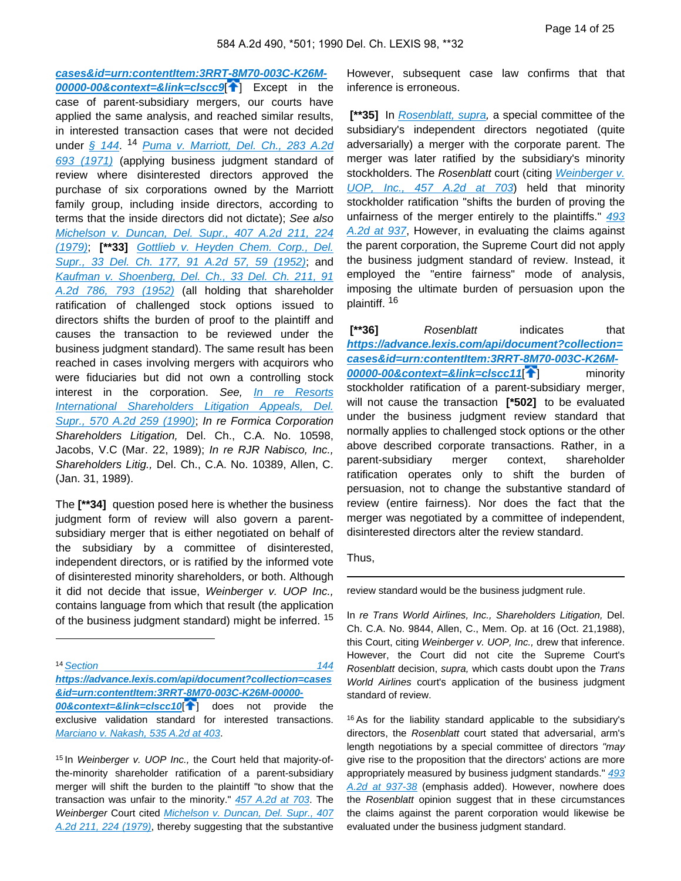**[cases&id=urn:contentItem:3RRT-8M70-003C-K26M-](https://advance.lexis.com/api/document?collection=cases&id=urn:contentItem:3RRT-8M70-003C-K26M-00000-00&context=&link=clscc9)**

**[00000-00&context=&link=clscc9](https://advance.lexis.com/api/document?collection=cases&id=urn:contentItem:3RRT-8M70-003C-K26M-00000-00&context=&link=clscc9)**[ ] Except in the case of parent-subsidiary mergers, our courts have applied the same analysis, and reached similar results, in interested transaction cases that were not decided under [§ 144](https://advance.lexis.com/api/document?collection=statutes-legislation&id=urn:contentItem:5SY3-C2H0-004D-41ST-00000-00&context=). <sup>14</sup> Puma v. Marriott, Del. Ch., 283 A.2d [693 \(1971\)](https://advance.lexis.com/api/document?collection=cases&id=urn:contentItem:3RRT-95W0-003C-K0D8-00000-00&context=) (applying business judgment standard of review where disinterested directors approved the purchase of six corporations owned by the Marriott family group, including inside directors, according to terms that the inside directors did not dictate); See also [Michelson v. Duncan, Del. Supr., 407 A.2d 211, 224](https://advance.lexis.com/api/document?collection=cases&id=urn:contentItem:3RRT-7T80-003C-K2C1-00000-00&context=)  [\(1979\)](https://advance.lexis.com/api/document?collection=cases&id=urn:contentItem:3RRT-7T80-003C-K2C1-00000-00&context=); **[\*\*33]** [Gottlieb v. Heyden Chem. Corp., Del.](https://advance.lexis.com/api/document?collection=cases&id=urn:contentItem:3RRT-8880-003C-K0C9-00000-00&context=)  [Supr., 33 Del. Ch. 177, 91 A.2d 57, 59 \(1952\)](https://advance.lexis.com/api/document?collection=cases&id=urn:contentItem:3RRT-8880-003C-K0C9-00000-00&context=); and [Kaufman v. Shoenberg, Del. Ch., 33 Del. Ch. 211, 91](https://advance.lexis.com/api/document?collection=cases&id=urn:contentItem:3RRT-99N0-003C-K188-00000-00&context=)  [A.2d 786, 793 \(1952\)](https://advance.lexis.com/api/document?collection=cases&id=urn:contentItem:3RRT-99N0-003C-K188-00000-00&context=) (all holding that shareholder ratification of challenged stock options issued to directors shifts the burden of proof to the plaintiff and causes the transaction to be reviewed under the business judgment standard). The same result has been reached in cases involving mergers with acquirors who were fiduciaries but did not own a controlling stock interest in the corporation. See, [In re Resorts](https://advance.lexis.com/api/document?collection=cases&id=urn:contentItem:3RRT-78J0-003C-K478-00000-00&context=) [International Shareholders Litigation Appeals, Del.](https://advance.lexis.com/api/document?collection=cases&id=urn:contentItem:3RRT-78J0-003C-K478-00000-00&context=) [Supr., 570 A.2d 259 \(1990\)](https://advance.lexis.com/api/document?collection=cases&id=urn:contentItem:3RRT-78J0-003C-K478-00000-00&context=); In re Formica Corporation Shareholders Litigation, Del. Ch., C.A. No. 10598, Jacobs, V.C (Mar. 22, 1989); In re RJR Nabisco, Inc., Shareholders Litig., Del. Ch., C.A. No. 10389, Allen, C. (Jan. 31, 1989).

The **[\*\*34]** question posed here is whether the business judgment form of review will also govern a parentsubsidiary merger that is either negotiated on behalf of the subsidiary by a committee of disinterested, independent directors, or is ratified by the informed vote of disinterested minority shareholders, or both. Although it did not decide that issue, Weinberger v. UOP Inc., contains language from which that result (the application of the business judgment standard) might be inferred. <sup>15</sup>

<sup>14</sup> Section 2004 **144** 

**[https://advance.lexis.com/api/document?collection=cases](https://advance.lexis.com/api/document?collection=cases&id=urn:contentItem:3RRT-8M70-003C-K26M-00000-00&context=&link=clscc10) [&id=urn:contentItem:3RRT-8M70-003C-K26M-00000-](https://advance.lexis.com/api/document?collection=cases&id=urn:contentItem:3RRT-8M70-003C-K26M-00000-00&context=&link=clscc10)**

**[00&context=&link=clscc10](https://advance.lexis.com/api/document?collection=cases&id=urn:contentItem:3RRT-8M70-003C-K26M-00000-00&context=&link=clscc10)**<sup>1</sup> does not provide the exclusive validation standard for interested transactions. [Marciano v. Nakash, 535 A.2d at 403](https://advance.lexis.com/api/document?collection=cases&id=urn:contentItem:3RRT-7FH0-003C-K066-00000-00&context=).

15 In Weinberger v. UOP Inc., the Court held that majority-ofthe-minority shareholder ratification of a parent-subsidiary merger will shift the burden to the plaintiff "to show that the transaction was unfair to the minority." [457 A.2d at 703](https://advance.lexis.com/api/document?collection=cases&id=urn:contentItem:3RRT-7P40-003C-K1P9-00000-00&context=). The Weinberger Court cited [Michelson v. Duncan, Del. Supr., 407](https://advance.lexis.com/api/document?collection=cases&id=urn:contentItem:3RRT-7T80-003C-K2C1-00000-00&context=)  [A.2d 211, 224 \(1979\)](https://advance.lexis.com/api/document?collection=cases&id=urn:contentItem:3RRT-7T80-003C-K2C1-00000-00&context=), thereby suggesting that the substantive

However, subsequent case law confirms that that inference is erroneous.

[\*\*35] In [Rosenblatt, supra](https://advance.lexis.com/api/document?collection=cases&id=urn:contentItem:3RRT-7KY0-003C-K17J-00000-00&context=), a special committee of the subsidiary's independent directors negotiated (quite adversarially) a merger with the corporate parent. The merger was later ratified by the subsidiary's minority stockholders. The Rosenblatt court (citing Weinberger v. [UOP, Inc., 457 A.2d at 703](https://advance.lexis.com/api/document?collection=cases&id=urn:contentItem:3RRT-7P40-003C-K1P9-00000-00&context=)) held that minority stockholder ratification "shifts the burden of proving the unfairness of the merger entirely to the plaintiffs." 493 [A.2d at 937](https://advance.lexis.com/api/document?collection=cases&id=urn:contentItem:3RRT-7KY0-003C-K17J-00000-00&context=), However, in evaluating the claims against the parent corporation, the Supreme Court did not apply the business judgment standard of review. Instead, it employed the "entire fairness" mode of analysis, imposing the ultimate burden of persuasion upon the plaintiff. <sup>16</sup>

[\*\*36] Rosenblatt indicates that **[https://advance.lexis.com/api/document?collection=](https://advance.lexis.com/api/document?collection=cases&id=urn:contentItem:3RRT-8M70-003C-K26M-00000-00&context=&link=clscc11) [cases&id=urn:contentItem:3RRT-8M70-003C-K26M-](https://advance.lexis.com/api/document?collection=cases&id=urn:contentItem:3RRT-8M70-003C-K26M-00000-00&context=&link=clscc11)[00000-00&context=&link=clscc11](https://advance.lexis.com/api/document?collection=cases&id=urn:contentItem:3RRT-8M70-003C-K26M-00000-00&context=&link=clscc11)**<sup>[14[\]](#page-2-1)</sup> minority stockholder ratification of a parent-subsidiary merger, will not cause the transaction **[\*502]** to be evaluated under the business judgment review standard that normally applies to challenged stock options or the other above described corporate transactions. Rather, in a parent-subsidiary merger context, shareholder ratification operates only to shift the burden of persuasion, not to change the substantive standard of review (entire fairness). Nor does the fact that the merger was negotiated by a committee of independent, disinterested directors alter the review standard.

Thus,

review standard would be the business judgment rule.

In re Trans World Airlines, Inc., Shareholders Litigation, Del. Ch. C.A. No. 9844, Allen, C., Mem. Op. at 16 (Oct. 21,1988), this Court, citing Weinberger v. UOP, Inc., drew that inference. However, the Court did not cite the Supreme Court's Rosenblatt decision, supra, which casts doubt upon the Trans World Airlines court's application of the business judgment standard of review.

<sup>16</sup>As for the liability standard applicable to the subsidiary's directors, the Rosenblatt court stated that adversarial, arm's length negotiations by a special committee of directors "may give rise to the proposition that the directors' actions are more appropriately measured by business judgment standards." [493](https://advance.lexis.com/api/document?collection=cases&id=urn:contentItem:3RRT-7KY0-003C-K17J-00000-00&context=)  [A.2d at 937-38](https://advance.lexis.com/api/document?collection=cases&id=urn:contentItem:3RRT-7KY0-003C-K17J-00000-00&context=) (emphasis added). However, nowhere does the Rosenblatt opinion suggest that in these circumstances the claims against the parent corporation would likewise be evaluated under the business judgment standard.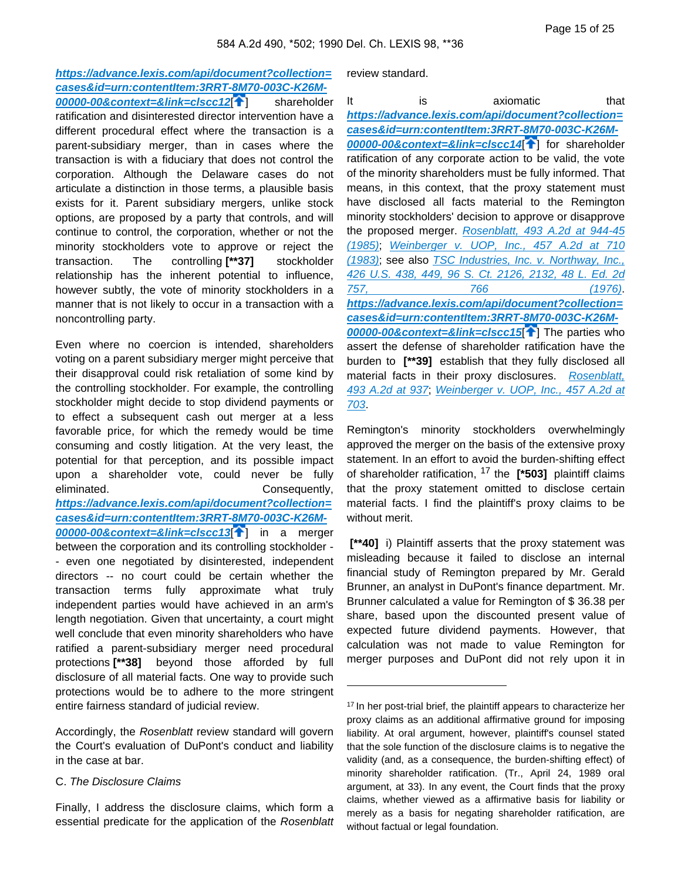**[https://advance.lexis.com/api/document?collection=](https://advance.lexis.com/api/document?collection=cases&id=urn:contentItem:3RRT-8M70-003C-K26M-00000-00&context=&link=clscc12) [cases&id=urn:contentItem:3RRT-8M70-003C-K26M-](https://advance.lexis.com/api/document?collection=cases&id=urn:contentItem:3RRT-8M70-003C-K26M-00000-00&context=&link=clscc12)**

**[00000-00&context=&link=clscc12](https://advance.lexis.com/api/document?collection=cases&id=urn:contentItem:3RRT-8M70-003C-K26M-00000-00&context=&link=clscc12)**[ [\]](#page-3-0) shareholder ratification and disinterested director intervention have a different procedural effect where the transaction is a parent-subsidiary merger, than in cases where the transaction is with a fiduciary that does not control the corporation. Although the Delaware cases do not articulate a distinction in those terms, a plausible basis exists for it. Parent subsidiary mergers, unlike stock options, are proposed by a party that controls, and will continue to control, the corporation, whether or not the minority stockholders vote to approve or reject the transaction. The controlling **[\*\*37]** stockholder relationship has the inherent potential to influence, however subtly, the vote of minority stockholders in a manner that is not likely to occur in a transaction with a noncontrolling party.

Even where no coercion is intended, shareholders voting on a parent subsidiary merger might perceive that their disapproval could risk retaliation of some kind by the controlling stockholder. For example, the controlling stockholder might decide to stop dividend payments or to effect a subsequent cash out merger at a less favorable price, for which the remedy would be time consuming and costly litigation. At the very least, the potential for that perception, and its possible impact upon a shareholder vote, could never be fully eliminated. Consequently, **[https://advance.lexis.com/api/document?collection=](https://advance.lexis.com/api/document?collection=cases&id=urn:contentItem:3RRT-8M70-003C-K26M-00000-00&context=&link=clscc13) [cases&id=urn:contentItem:3RRT-8M70-003C-K26M-](https://advance.lexis.com/api/document?collection=cases&id=urn:contentItem:3RRT-8M70-003C-K26M-00000-00&context=&link=clscc13)[00000-00&context=&link=clscc13](https://advance.lexis.com/api/document?collection=cases&id=urn:contentItem:3RRT-8M70-003C-K26M-00000-00&context=&link=clscc13)**[ [\]](#page-3-1) in a merger between the corporation and its controlling stockholder - - even one negotiated by disinterested, independent directors -- no court could be certain whether the transaction terms fully approximate what truly independent parties would have achieved in an arm's length negotiation. Given that uncertainty, a court might well conclude that even minority shareholders who have ratified a parent-subsidiary merger need procedural protections **[\*\*38]** beyond those afforded by full disclosure of all material facts. One way to provide such protections would be to adhere to the more stringent entire fairness standard of judicial review.

Accordingly, the Rosenblatt review standard will govern the Court's evaluation of DuPont's conduct and liability in the case at bar.

#### C. The Disclosure Claims

Finally, I address the disclosure claims, which form a essential predicate for the application of the Rosenblatt review standard.

It is axiomatic that **[https://advance.lexis.com/api/document?collection=](https://advance.lexis.com/api/document?collection=cases&id=urn:contentItem:3RRT-8M70-003C-K26M-00000-00&context=&link=clscc14) [cases&id=urn:contentItem:3RRT-8M70-003C-K26M-](https://advance.lexis.com/api/document?collection=cases&id=urn:contentItem:3RRT-8M70-003C-K26M-00000-00&context=&link=clscc14)[00000-00&context=&link=clscc14](https://advance.lexis.com/api/document?collection=cases&id=urn:contentItem:3RRT-8M70-003C-K26M-00000-00&context=&link=clscc14)**[ [\]](#page-3-2) for shareholder ratification of any corporate action to be valid, the vote of the minority shareholders must be fully informed. That means, in this context, that the proxy statement must have disclosed all facts material to the Remington minority stockholders' decision to approve or disapprove the proposed merger. [Rosenblatt, 493 A.2d at 944-45](https://advance.lexis.com/api/document?collection=cases&id=urn:contentItem:3RRT-7KY0-003C-K17J-00000-00&context=)  [\(1985\)](https://advance.lexis.com/api/document?collection=cases&id=urn:contentItem:3RRT-7KY0-003C-K17J-00000-00&context=); [Weinberger v. UOP, Inc., 457 A.2d at 710](https://advance.lexis.com/api/document?collection=cases&id=urn:contentItem:3RRT-7P40-003C-K1P9-00000-00&context=)  [\(1983\)](https://advance.lexis.com/api/document?collection=cases&id=urn:contentItem:3RRT-7P40-003C-K1P9-00000-00&context=); see also [TSC Industries, Inc. v. Northway, Inc.,](https://advance.lexis.com/api/document?collection=cases&id=urn:contentItem:3S4X-9WC0-003B-S28P-00000-00&context=)  [426 U.S. 438, 449, 96 S. Ct. 2126, 2132, 48 L. Ed. 2d](https://advance.lexis.com/api/document?collection=cases&id=urn:contentItem:3S4X-9WC0-003B-S28P-00000-00&context=)  [757, 766 \(1976\)](https://advance.lexis.com/api/document?collection=cases&id=urn:contentItem:3S4X-9WC0-003B-S28P-00000-00&context=). **[https://advance.lexis.com/api/document?collection=](https://advance.lexis.com/api/document?collection=cases&id=urn:contentItem:3RRT-8M70-003C-K26M-00000-00&context=&link=clscc15) [cases&id=urn:contentItem:3RRT-8M70-003C-K26M-](https://advance.lexis.com/api/document?collection=cases&id=urn:contentItem:3RRT-8M70-003C-K26M-00000-00&context=&link=clscc15)[00000-00&context=&link=clscc15](https://advance.lexis.com/api/document?collection=cases&id=urn:contentItem:3RRT-8M70-003C-K26M-00000-00&context=&link=clscc15)**[ [\]](#page-3-3) The parties who assert the defense of shareholder ratification have the burden to **[\*\*39]** establish that they fully disclosed all material facts in their proxy disclosures. Rosenblatt, [493 A.2d at 937](https://advance.lexis.com/api/document?collection=cases&id=urn:contentItem:3RRT-7KY0-003C-K17J-00000-00&context=); [Weinberger v. UOP, Inc., 457 A.2d at](https://advance.lexis.com/api/document?collection=cases&id=urn:contentItem:3RRT-7P40-003C-K1P9-00000-00&context=)  [703](https://advance.lexis.com/api/document?collection=cases&id=urn:contentItem:3RRT-7P40-003C-K1P9-00000-00&context=).

Remington's minority stockholders overwhelmingly approved the merger on the basis of the extensive proxy statement. In an effort to avoid the burden-shifting effect of shareholder ratification, 17 the **[\*503]** plaintiff claims that the proxy statement omitted to disclose certain material facts. I find the plaintiff's proxy claims to be without merit.

 **[\*\*40]** i) Plaintiff asserts that the proxy statement was misleading because it failed to disclose an internal financial study of Remington prepared by Mr. Gerald Brunner, an analyst in DuPont's finance department. Mr. Brunner calculated a value for Remington of \$ 36.38 per share, based upon the discounted present value of expected future dividend payments. However, that calculation was not made to value Remington for merger purposes and DuPont did not rely upon it in

<sup>&</sup>lt;sup>17</sup> In her post-trial brief, the plaintiff appears to characterize her proxy claims as an additional affirmative ground for imposing liability. At oral argument, however, plaintiff's counsel stated that the sole function of the disclosure claims is to negative the validity (and, as a consequence, the burden-shifting effect) of minority shareholder ratification. (Tr., April 24, 1989 oral argument, at 33). In any event, the Court finds that the proxy claims, whether viewed as a affirmative basis for liability or merely as a basis for negating shareholder ratification, are without factual or legal foundation.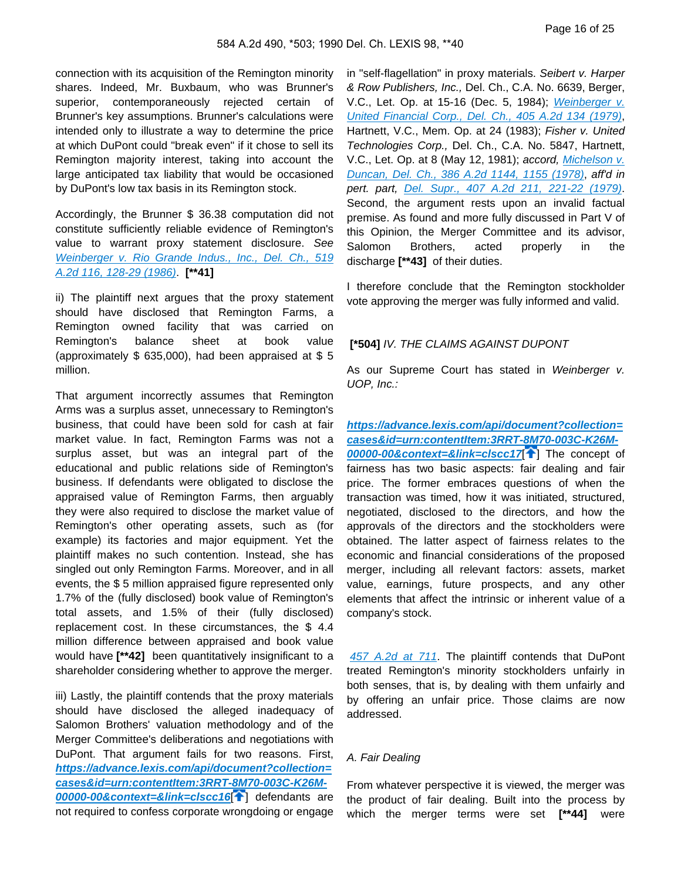connection with its acquisition of the Remington minority shares. Indeed, Mr. Buxbaum, who was Brunner's superior, contemporaneously rejected certain of Brunner's key assumptions. Brunner's calculations were intended only to illustrate a way to determine the price at which DuPont could "break even" if it chose to sell its Remington majority interest, taking into account the large anticipated tax liability that would be occasioned by DuPont's low tax basis in its Remington stock.

Accordingly, the Brunner \$ 36.38 computation did not constitute sufficiently reliable evidence of Remington's value to warrant proxy statement disclosure. See [Weinberger v. Rio Grande Indus., Inc., Del. Ch., 519](https://advance.lexis.com/api/document?collection=cases&id=urn:contentItem:3RRT-8SB0-003C-K309-00000-00&context=)  [A.2d 116, 128-29 \(1986\)](https://advance.lexis.com/api/document?collection=cases&id=urn:contentItem:3RRT-8SB0-003C-K309-00000-00&context=). **[\*\*41]**

ii) The plaintiff next argues that the proxy statement should have disclosed that Remington Farms, a Remington owned facility that was carried on Remington's balance sheet at book value (approximately \$ 635,000), had been appraised at \$ 5 million.

That argument incorrectly assumes that Remington Arms was a surplus asset, unnecessary to Remington's business, that could have been sold for cash at fair market value. In fact, Remington Farms was not a surplus asset, but was an integral part of the educational and public relations side of Remington's business. If defendants were obligated to disclose the appraised value of Remington Farms, then arguably they were also required to disclose the market value of Remington's other operating assets, such as (for example) its factories and major equipment. Yet the plaintiff makes no such contention. Instead, she has singled out only Remington Farms. Moreover, and in all events, the \$ 5 million appraised figure represented only 1.7% of the (fully disclosed) book value of Remington's total assets, and 1.5% of their (fully disclosed) replacement cost. In these circumstances, the \$ 4.4 million difference between appraised and book value would have **[\*\*42]** been quantitatively insignificant to a shareholder considering whether to approve the merger.

iii) Lastly, the plaintiff contends that the proxy materials should have disclosed the alleged inadequacy of Salomon Brothers' valuation methodology and of the Merger Committee's deliberations and negotiations with DuPont. That argument fails for two reasons. First, **[https://advance.lexis.com/api/document?collection=](https://advance.lexis.com/api/document?collection=cases&id=urn:contentItem:3RRT-8M70-003C-K26M-00000-00&context=&link=clscc16) [cases&id=urn:contentItem:3RRT-8M70-003C-K26M-](https://advance.lexis.com/api/document?collection=cases&id=urn:contentItem:3RRT-8M70-003C-K26M-00000-00&context=&link=clscc16)[00000-00&context=&link=clscc16](https://advance.lexis.com/api/document?collection=cases&id=urn:contentItem:3RRT-8M70-003C-K26M-00000-00&context=&link=clscc16)**[ [\]](#page-3-4) defendants are not required to confess corporate wrongdoing or engage

in "self-flagellation" in proxy materials. Seibert v. Harper & Row Publishers, Inc., Del. Ch., C.A. No. 6639, Berger, V.C., Let. Op. at 15-16 (Dec. 5, 1984); [Weinberger v.](https://advance.lexis.com/api/document?collection=cases&id=urn:contentItem:3RRT-91W0-003C-K4RK-00000-00&context=) [United Financial Corp., Del. Ch., 405 A.2d 134 \(1979\)](https://advance.lexis.com/api/document?collection=cases&id=urn:contentItem:3RRT-91W0-003C-K4RK-00000-00&context=), Hartnett, V.C., Mem. Op. at 24 (1983); Fisher v. United Technologies Corp., Del. Ch., C.A. No. 5847, Hartnett, V.C., Let. Op. at 8 (May 12, 1981); accord, [Michelson v.](https://advance.lexis.com/api/document?collection=cases&id=urn:contentItem:3RRT-93C0-003C-K53Y-00000-00&context=) [Duncan, Del. Ch., 386 A.2d 1144, 1155 \(1978\)](https://advance.lexis.com/api/document?collection=cases&id=urn:contentItem:3RRT-93C0-003C-K53Y-00000-00&context=), aff'd in pert. part, [Del. Supr., 407 A.2d 211, 221-22 \(1979\)](https://advance.lexis.com/api/document?collection=cases&id=urn:contentItem:3RRT-7T80-003C-K2C1-00000-00&context=). Second, the argument rests upon an invalid factual premise. As found and more fully discussed in Part V of this Opinion, the Merger Committee and its advisor, Salomon Brothers, acted properly in the discharge **[\*\*43]** of their duties.

I therefore conclude that the Remington stockholder vote approving the merger was fully informed and valid.

#### **[\*504]** IV. THE CLAIMS AGAINST DUPONT

As our Supreme Court has stated in Weinberger v. UOP, Inc.:

**[https://advance.lexis.com/api/document?collection=](https://advance.lexis.com/api/document?collection=cases&id=urn:contentItem:3RRT-8M70-003C-K26M-00000-00&context=&link=clscc17) [cases&id=urn:contentItem:3RRT-8M70-003C-K26M-](https://advance.lexis.com/api/document?collection=cases&id=urn:contentItem:3RRT-8M70-003C-K26M-00000-00&context=&link=clscc17)[00000-00&context=&link=clscc17](https://advance.lexis.com/api/document?collection=cases&id=urn:contentItem:3RRT-8M70-003C-K26M-00000-00&context=&link=clscc17)**[ [\]](#page-4-0) The concept of fairness has two basic aspects: fair dealing and fair price. The former embraces questions of when the transaction was timed, how it was initiated, structured, negotiated, disclosed to the directors, and how the approvals of the directors and the stockholders were obtained. The latter aspect of fairness relates to the economic and financial considerations of the proposed merger, including all relevant factors: assets, market value, earnings, future prospects, and any other elements that affect the intrinsic or inherent value of a company's stock.

[457 A.2d at 711](https://advance.lexis.com/api/document?collection=cases&id=urn:contentItem:3RRT-7P40-003C-K1P9-00000-00&context=). The plaintiff contends that DuPont treated Remington's minority stockholders unfairly in both senses, that is, by dealing with them unfairly and by offering an unfair price. Those claims are now addressed.

#### A. Fair Dealing

From whatever perspective it is viewed, the merger was the product of fair dealing. Built into the process by which the merger terms were set **[\*\*44]** were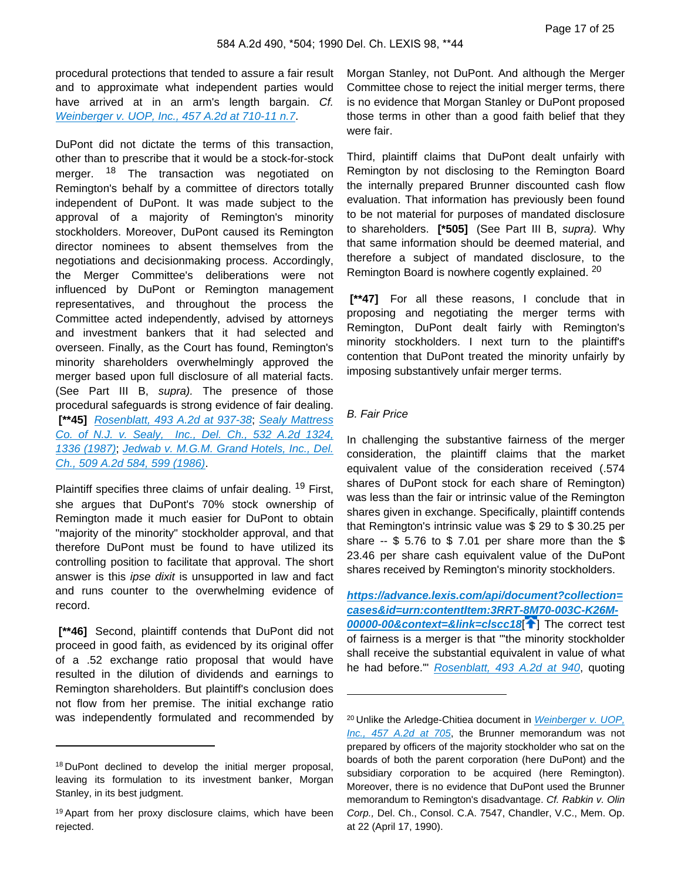procedural protections that tended to assure a fair result and to approximate what independent parties would have arrived at in an arm's length bargain. Cf. [Weinberger v. UOP, Inc., 457 A.2d at 710-11 n.7](https://advance.lexis.com/api/document?collection=cases&id=urn:contentItem:3RRT-7P40-003C-K1P9-00000-00&context=).

DuPont did not dictate the terms of this transaction, other than to prescribe that it would be a stock-for-stock merger. <sup>18</sup> The transaction was negotiated on Remington's behalf by a committee of directors totally independent of DuPont. It was made subject to the approval of a majority of Remington's minority stockholders. Moreover, DuPont caused its Remington director nominees to absent themselves from the negotiations and decisionmaking process. Accordingly, the Merger Committee's deliberations were not influenced by DuPont or Remington management representatives, and throughout the process the Committee acted independently, advised by attorneys and investment bankers that it had selected and overseen. Finally, as the Court has found, Remington's minority shareholders overwhelmingly approved the merger based upon full disclosure of all material facts. (See Part III B, supra). The presence of those procedural safeguards is strong evidence of fair dealing.  **[\*\*45]** [Rosenblatt, 493 A.2d at 937-38](https://advance.lexis.com/api/document?collection=cases&id=urn:contentItem:3RRT-7KY0-003C-K17J-00000-00&context=); [Sealy Mattress](https://advance.lexis.com/api/document?collection=cases&id=urn:contentItem:3RRT-8RH0-003C-K2TN-00000-00&context=)  [Co. of N.J. v. Sealy, Inc., Del. Ch., 532 A.2d 1324,](https://advance.lexis.com/api/document?collection=cases&id=urn:contentItem:3RRT-8RH0-003C-K2TN-00000-00&context=)  [1336 \(1987\)](https://advance.lexis.com/api/document?collection=cases&id=urn:contentItem:3RRT-8RH0-003C-K2TN-00000-00&context=); [Jedwab v. M.G.M. Grand Hotels, Inc., Del.](https://advance.lexis.com/api/document?collection=cases&id=urn:contentItem:3RRT-8SW0-003C-K33G-00000-00&context=)  [Ch., 509 A.2d 584, 599 \(1986\)](https://advance.lexis.com/api/document?collection=cases&id=urn:contentItem:3RRT-8SW0-003C-K33G-00000-00&context=).

Plaintiff specifies three claims of unfair dealing. <sup>19</sup> First, she argues that DuPont's 70% stock ownership of Remington made it much easier for DuPont to obtain "majority of the minority" stockholder approval, and that therefore DuPont must be found to have utilized its controlling position to facilitate that approval. The short answer is this ipse dixit is unsupported in law and fact and runs counter to the overwhelming evidence of record.

 **[\*\*46]** Second, plaintiff contends that DuPont did not proceed in good faith, as evidenced by its original offer of a .52 exchange ratio proposal that would have resulted in the dilution of dividends and earnings to Remington shareholders. But plaintiff's conclusion does not flow from her premise. The initial exchange ratio was independently formulated and recommended by Morgan Stanley, not DuPont. And although the Merger Committee chose to reject the initial merger terms, there is no evidence that Morgan Stanley or DuPont proposed those terms in other than a good faith belief that they were fair.

Third, plaintiff claims that DuPont dealt unfairly with Remington by not disclosing to the Remington Board the internally prepared Brunner discounted cash flow evaluation. That information has previously been found to be not material for purposes of mandated disclosure to shareholders. **[\*505]** (See Part III B, supra). Why that same information should be deemed material, and therefore a subject of mandated disclosure, to the Remington Board is nowhere cogently explained. <sup>20</sup>

 **[\*\*47]** For all these reasons, I conclude that in proposing and negotiating the merger terms with Remington, DuPont dealt fairly with Remington's minority stockholders. I next turn to the plaintiff's contention that DuPont treated the minority unfairly by imposing substantively unfair merger terms.

### B. Fair Price

In challenging the substantive fairness of the merger consideration, the plaintiff claims that the market equivalent value of the consideration received (.574 shares of DuPont stock for each share of Remington) was less than the fair or intrinsic value of the Remington shares given in exchange. Specifically, plaintiff contends that Remington's intrinsic value was \$ 29 to \$ 30.25 per share  $-$  \$ 5.76 to \$ 7.01 per share more than the \$ 23.46 per share cash equivalent value of the DuPont shares received by Remington's minority stockholders.

**[https://advance.lexis.com/api/document?collection=](https://advance.lexis.com/api/document?collection=cases&id=urn:contentItem:3RRT-8M70-003C-K26M-00000-00&context=&link=clscc18) [cases&id=urn:contentItem:3RRT-8M70-003C-K26M-](https://advance.lexis.com/api/document?collection=cases&id=urn:contentItem:3RRT-8M70-003C-K26M-00000-00&context=&link=clscc18)[00000-00&context=&link=clscc18](https://advance.lexis.com/api/document?collection=cases&id=urn:contentItem:3RRT-8M70-003C-K26M-00000-00&context=&link=clscc18)**[ [\]](#page-4-1) The correct test of fairness is a merger is that "'the minority stockholder shall receive the substantial equivalent in value of what he had before." [Rosenblatt, 493 A.2d at 940](https://advance.lexis.com/api/document?collection=cases&id=urn:contentItem:3RRT-7KY0-003C-K17J-00000-00&context=), quoting

<sup>18</sup>DuPont declined to develop the initial merger proposal, leaving its formulation to its investment banker, Morgan Stanley, in its best judgment.

<sup>19</sup>Apart from her proxy disclosure claims, which have been rejected.

<sup>&</sup>lt;sup>20</sup> Unlike the Arledge-Chitiea document in Weinberger v. UOP, [Inc., 457 A.2d at 705](https://advance.lexis.com/api/document?collection=cases&id=urn:contentItem:3RRT-7P40-003C-K1P9-00000-00&context=), the Brunner memorandum was not prepared by officers of the majority stockholder who sat on the boards of both the parent corporation (here DuPont) and the subsidiary corporation to be acquired (here Remington). Moreover, there is no evidence that DuPont used the Brunner memorandum to Remington's disadvantage. Cf. Rabkin v. Olin Corp., Del. Ch., Consol. C.A. 7547, Chandler, V.C., Mem. Op. at 22 (April 17, 1990).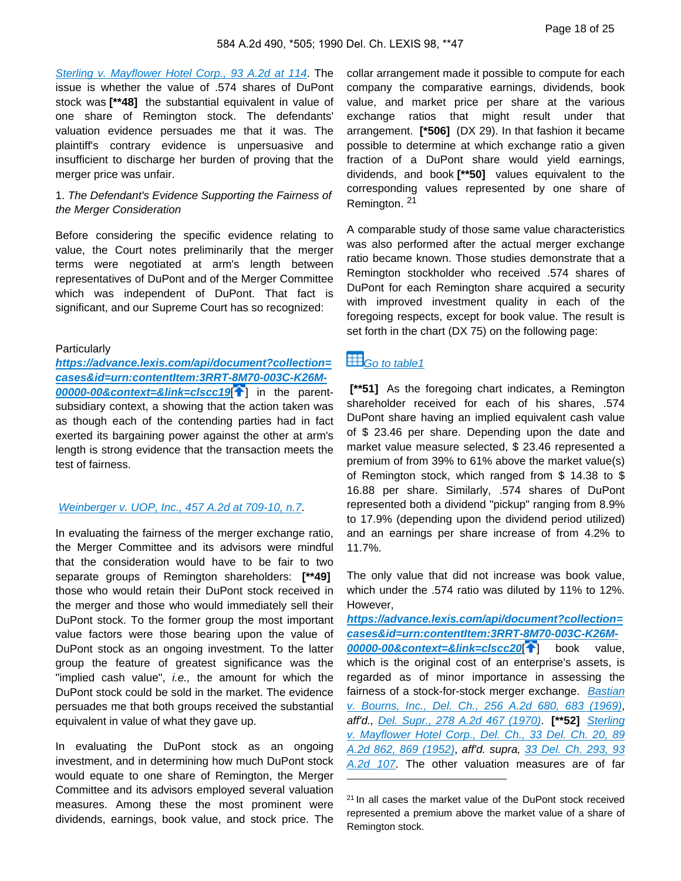[Sterling v. Mayflower Hotel Corp., 93 A.2d at 114](https://advance.lexis.com/api/document?collection=cases&id=urn:contentItem:3RRT-8870-003C-K0C1-00000-00&context=). The issue is whether the value of .574 shares of DuPont stock was **[\*\*48]** the substantial equivalent in value of one share of Remington stock. The defendants' valuation evidence persuades me that it was. The plaintiff's contrary evidence is unpersuasive and insufficient to discharge her burden of proving that the merger price was unfair.

## 1. The Defendant's Evidence Supporting the Fairness of the Merger Consideration

Before considering the specific evidence relating to value, the Court notes preliminarily that the merger terms were negotiated at arm's length between representatives of DuPont and of the Merger Committee which was independent of DuPont. That fact is significant, and our Supreme Court has so recognized:

#### **Particularly**

**[https://advance.lexis.com/api/document?collection=](https://advance.lexis.com/api/document?collection=cases&id=urn:contentItem:3RRT-8M70-003C-K26M-00000-00&context=&link=clscc19) [cases&id=urn:contentItem:3RRT-8M70-003C-K26M-](https://advance.lexis.com/api/document?collection=cases&id=urn:contentItem:3RRT-8M70-003C-K26M-00000-00&context=&link=clscc19)[00000-00&context=&link=clscc19](https://advance.lexis.com/api/document?collection=cases&id=urn:contentItem:3RRT-8M70-003C-K26M-00000-00&context=&link=clscc19)**[ [\]](#page-4-2) in the parentsubsidiary context, a showing that the action taken was as though each of the contending parties had in fact exerted its bargaining power against the other at arm's length is strong evidence that the transaction meets the test of fairness.

# [Weinberger v. UOP, Inc., 457 A.2d at 709-10, n.7](https://advance.lexis.com/api/document?collection=cases&id=urn:contentItem:3RRT-7P40-003C-K1P9-00000-00&context=).

In evaluating the fairness of the merger exchange ratio, the Merger Committee and its advisors were mindful that the consideration would have to be fair to two separate groups of Remington shareholders: **[\*\*49]**  those who would retain their DuPont stock received in the merger and those who would immediately sell their DuPont stock. To the former group the most important value factors were those bearing upon the value of DuPont stock as an ongoing investment. To the latter group the feature of greatest significance was the "implied cash value", i.e., the amount for which the DuPont stock could be sold in the market. The evidence persuades me that both groups received the substantial equivalent in value of what they gave up.

In evaluating the DuPont stock as an ongoing investment, and in determining how much DuPont stock would equate to one share of Remington, the Merger Committee and its advisors employed several valuation measures. Among these the most prominent were dividends, earnings, book value, and stock price. The collar arrangement made it possible to compute for each company the comparative earnings, dividends, book value, and market price per share at the various exchange ratios that might result under that arrangement. **[\*506]** (DX 29). In that fashion it became possible to determine at which exchange ratio a given fraction of a DuPont share would yield earnings, dividends, and book **[\*\*50]** values equivalent to the corresponding values represented by one share of Remington. <sup>21</sup>

A comparable study of those same value characteristics was also performed after the actual merger exchange ratio became known. Those studies demonstrate that a Remington stockholder who received .574 shares of DuPont for each Remington share acquired a security with improved investment quality in each of the foregoing respects, except for book value. The result is set forth in the chart (DX 75) on the following page:

# <span id="page-17-0"></span> $\boxplus$  Go to table 1

 **[\*\*51]** As the foregoing chart indicates, a Remington shareholder received for each of his shares, .574 DuPont share having an implied equivalent cash value of \$ 23.46 per share. Depending upon the date and market value measure selected, \$ 23.46 represented a premium of from 39% to 61% above the market value(s) of Remington stock, which ranged from \$ 14.38 to \$ 16.88 per share. Similarly, .574 shares of DuPont represented both a dividend "pickup" ranging from 8.9% to 17.9% (depending upon the dividend period utilized) and an earnings per share increase of from 4.2% to 11.7%.

The only value that did not increase was book value, which under the .574 ratio was diluted by 11% to 12%. However,

**[https://advance.lexis.com/api/document?collection=](https://advance.lexis.com/api/document?collection=cases&id=urn:contentItem:3RRT-8M70-003C-K26M-00000-00&context=&link=clscc20) [cases&id=urn:contentItem:3RRT-8M70-003C-K26M-](https://advance.lexis.com/api/document?collection=cases&id=urn:contentItem:3RRT-8M70-003C-K26M-00000-00&context=&link=clscc20)[00000-00&context=&link=clscc20](https://advance.lexis.com/api/document?collection=cases&id=urn:contentItem:3RRT-8M70-003C-K26M-00000-00&context=&link=clscc20)**<sup>[1[\]](#page-4-3)</sup> book value, which is the original cost of an enterprise's assets, is regarded as of minor importance in assessing the fairness of a stock-for-stock merger exchange. Bastian [v. Bourns, Inc., Del. Ch., 256 A.2d 680, 683 \(1969\)](https://advance.lexis.com/api/document?collection=cases&id=urn:contentItem:3RRT-96D0-003C-K0HR-00000-00&context=), aff'd., [Del. Supr., 278 A.2d 467 \(1970\)](https://advance.lexis.com/api/document?collection=cases&id=urn:contentItem:3RRT-82X0-003C-K4C4-00000-00&context=). **[\*\*52]** [Sterling](https://advance.lexis.com/api/document?collection=cases&id=urn:contentItem:3RRT-99P0-003C-K18M-00000-00&context=) [v. Mayflower Hotel Corp., Del. Ch., 33 Del. Ch. 20, 89](https://advance.lexis.com/api/document?collection=cases&id=urn:contentItem:3RRT-99P0-003C-K18M-00000-00&context=) [A.2d 862, 869 \(1952\)](https://advance.lexis.com/api/document?collection=cases&id=urn:contentItem:3RRT-99P0-003C-K18M-00000-00&context=), aff'd. supra, [33 Del. Ch. 293, 93](https://advance.lexis.com/api/document?collection=cases&id=urn:contentItem:3RRT-8870-003C-K0C1-00000-00&context=) [A.2d 107](https://advance.lexis.com/api/document?collection=cases&id=urn:contentItem:3RRT-8870-003C-K0C1-00000-00&context=). The other valuation measures are of far

<sup>&</sup>lt;sup>21</sup> In all cases the market value of the DuPont stock received represented a premium above the market value of a share of Remington stock.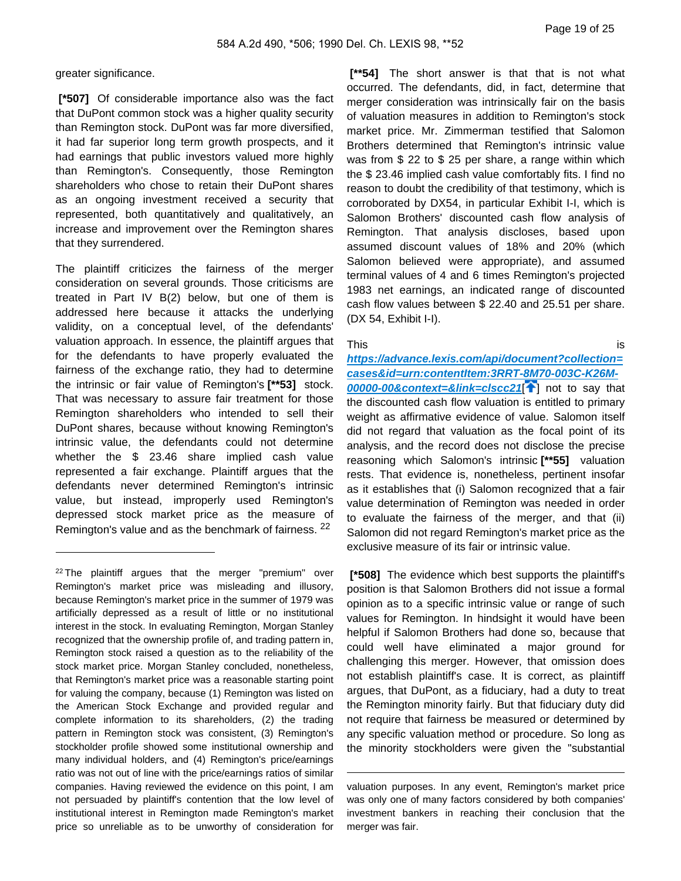greater significance.

 **[\*507]** Of considerable importance also was the fact that DuPont common stock was a higher quality security than Remington stock. DuPont was far more diversified, it had far superior long term growth prospects, and it had earnings that public investors valued more highly than Remington's. Consequently, those Remington shareholders who chose to retain their DuPont shares as an ongoing investment received a security that represented, both quantitatively and qualitatively, an increase and improvement over the Remington shares that they surrendered.

The plaintiff criticizes the fairness of the merger consideration on several grounds. Those criticisms are treated in Part IV B(2) below, but one of them is addressed here because it attacks the underlying validity, on a conceptual level, of the defendants' valuation approach. In essence, the plaintiff argues that for the defendants to have properly evaluated the fairness of the exchange ratio, they had to determine the intrinsic or fair value of Remington's **[\*\*53]** stock. That was necessary to assure fair treatment for those Remington shareholders who intended to sell their DuPont shares, because without knowing Remington's intrinsic value, the defendants could not determine whether the \$ 23.46 share implied cash value represented a fair exchange. Plaintiff argues that the defendants never determined Remington's intrinsic value, but instead, improperly used Remington's depressed stock market price as the measure of Remington's value and as the benchmark of fairness. <sup>22</sup>

 **[\*\*54]** The short answer is that that is not what occurred. The defendants, did, in fact, determine that merger consideration was intrinsically fair on the basis of valuation measures in addition to Remington's stock market price. Mr. Zimmerman testified that Salomon Brothers determined that Remington's intrinsic value was from \$ 22 to \$ 25 per share, a range within which the \$ 23.46 implied cash value comfortably fits. I find no reason to doubt the credibility of that testimony, which is corroborated by DX54, in particular Exhibit I-I, which is Salomon Brothers' discounted cash flow analysis of Remington. That analysis discloses, based upon assumed discount values of 18% and 20% (which Salomon believed were appropriate), and assumed terminal values of 4 and 6 times Remington's projected 1983 net earnings, an indicated range of discounted cash flow values between \$ 22.40 and 25.51 per share. (DX 54, Exhibit I-I).

#### This is

**[https://advance.lexis.com/api/document?collection=](https://advance.lexis.com/api/document?collection=cases&id=urn:contentItem:3RRT-8M70-003C-K26M-00000-00&context=&link=clscc21) [cases&id=urn:contentItem:3RRT-8M70-003C-K26M-](https://advance.lexis.com/api/document?collection=cases&id=urn:contentItem:3RRT-8M70-003C-K26M-00000-00&context=&link=clscc21)[00000-00&context=&link=clscc21](https://advance.lexis.com/api/document?collection=cases&id=urn:contentItem:3RRT-8M70-003C-K26M-00000-00&context=&link=clscc21)<sup>[1</sup>[\]](#page-4-4)** not to say that the discounted cash flow valuation is entitled to primary weight as affirmative evidence of value. Salomon itself did not regard that valuation as the focal point of its analysis, and the record does not disclose the precise reasoning which Salomon's intrinsic **[\*\*55]** valuation rests. That evidence is, nonetheless, pertinent insofar as it establishes that (i) Salomon recognized that a fair value determination of Remington was needed in order to evaluate the fairness of the merger, and that (ii) Salomon did not regard Remington's market price as the exclusive measure of its fair or intrinsic value.

 **[\*508]** The evidence which best supports the plaintiff's position is that Salomon Brothers did not issue a formal opinion as to a specific intrinsic value or range of such values for Remington. In hindsight it would have been helpful if Salomon Brothers had done so, because that could well have eliminated a major ground for challenging this merger. However, that omission does not establish plaintiff's case. It is correct, as plaintiff argues, that DuPont, as a fiduciary, had a duty to treat the Remington minority fairly. But that fiduciary duty did not require that fairness be measured or determined by any specific valuation method or procedure. So long as the minority stockholders were given the "substantial

<sup>22</sup>The plaintiff argues that the merger "premium" over Remington's market price was misleading and illusory, because Remington's market price in the summer of 1979 was artificially depressed as a result of little or no institutional interest in the stock. In evaluating Remington, Morgan Stanley recognized that the ownership profile of, and trading pattern in, Remington stock raised a question as to the reliability of the stock market price. Morgan Stanley concluded, nonetheless, that Remington's market price was a reasonable starting point for valuing the company, because (1) Remington was listed on the American Stock Exchange and provided regular and complete information to its shareholders, (2) the trading pattern in Remington stock was consistent, (3) Remington's stockholder profile showed some institutional ownership and many individual holders, and (4) Remington's price/earnings ratio was not out of line with the price/earnings ratios of similar companies. Having reviewed the evidence on this point, I am not persuaded by plaintiff's contention that the low level of institutional interest in Remington made Remington's market price so unreliable as to be unworthy of consideration for

valuation purposes. In any event, Remington's market price was only one of many factors considered by both companies' investment bankers in reaching their conclusion that the merger was fair.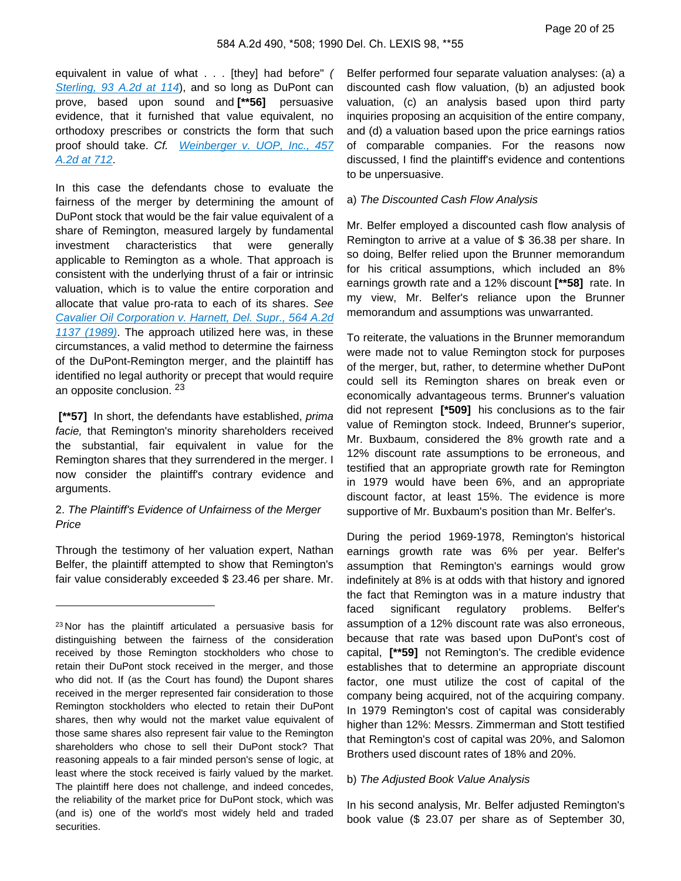equivalent in value of what . . . [they] had before" ( [Sterling, 93 A.2d at 114](https://advance.lexis.com/api/document?collection=cases&id=urn:contentItem:3RRT-8870-003C-K0C1-00000-00&context=)), and so long as DuPont can prove, based upon sound and **[\*\*56]** persuasive evidence, that it furnished that value equivalent, no orthodoxy prescribes or constricts the form that such proof should take. Cf. Weinberger v. UOP, Inc., 457 [A.2d at 712](https://advance.lexis.com/api/document?collection=cases&id=urn:contentItem:3RRT-7P40-003C-K1P9-00000-00&context=).

In this case the defendants chose to evaluate the fairness of the merger by determining the amount of DuPont stock that would be the fair value equivalent of a share of Remington, measured largely by fundamental investment characteristics that were generally applicable to Remington as a whole. That approach is consistent with the underlying thrust of a fair or intrinsic valuation, which is to value the entire corporation and allocate that value pro-rata to each of its shares. See [Cavalier Oil Corporation v. Harnett, Del. Supr., 564 A.2d](https://advance.lexis.com/api/document?collection=cases&id=urn:contentItem:3RRT-79K0-003C-K4G4-00000-00&context=)  [1137 \(1989\)](https://advance.lexis.com/api/document?collection=cases&id=urn:contentItem:3RRT-79K0-003C-K4G4-00000-00&context=). The approach utilized here was, in these circumstances, a valid method to determine the fairness of the DuPont-Remington merger, and the plaintiff has identified no legal authority or precept that would require an opposite conclusion. <sup>23</sup>

 **[\*\*57]** In short, the defendants have established, prima facie, that Remington's minority shareholders received the substantial, fair equivalent in value for the Remington shares that they surrendered in the merger. I now consider the plaintiff's contrary evidence and arguments.

#### 2. The Plaintiff's Evidence of Unfairness of the Merger Price

Through the testimony of her valuation expert, Nathan Belfer, the plaintiff attempted to show that Remington's fair value considerably exceeded \$ 23.46 per share. Mr. Belfer performed four separate valuation analyses: (a) a discounted cash flow valuation, (b) an adjusted book valuation, (c) an analysis based upon third party inquiries proposing an acquisition of the entire company, and (d) a valuation based upon the price earnings ratios of comparable companies. For the reasons now discussed, I find the plaintiff's evidence and contentions to be unpersuasive.

#### a) The Discounted Cash Flow Analysis

Mr. Belfer employed a discounted cash flow analysis of Remington to arrive at a value of \$ 36.38 per share. In so doing, Belfer relied upon the Brunner memorandum for his critical assumptions, which included an 8% earnings growth rate and a 12% discount **[\*\*58]** rate. In my view, Mr. Belfer's reliance upon the Brunner memorandum and assumptions was unwarranted.

To reiterate, the valuations in the Brunner memorandum were made not to value Remington stock for purposes of the merger, but, rather, to determine whether DuPont could sell its Remington shares on break even or economically advantageous terms. Brunner's valuation did not represent **[\*509]** his conclusions as to the fair value of Remington stock. Indeed, Brunner's superior, Mr. Buxbaum, considered the 8% growth rate and a 12% discount rate assumptions to be erroneous, and testified that an appropriate growth rate for Remington in 1979 would have been 6%, and an appropriate discount factor, at least 15%. The evidence is more supportive of Mr. Buxbaum's position than Mr. Belfer's.

During the period 1969-1978, Remington's historical earnings growth rate was 6% per year. Belfer's assumption that Remington's earnings would grow indefinitely at 8% is at odds with that history and ignored the fact that Remington was in a mature industry that faced significant regulatory problems. Belfer's assumption of a 12% discount rate was also erroneous, because that rate was based upon DuPont's cost of capital, **[\*\*59]** not Remington's. The credible evidence establishes that to determine an appropriate discount factor, one must utilize the cost of capital of the company being acquired, not of the acquiring company. In 1979 Remington's cost of capital was considerably higher than 12%: Messrs. Zimmerman and Stott testified that Remington's cost of capital was 20%, and Salomon Brothers used discount rates of 18% and 20%.

#### b) The Adjusted Book Value Analysis

In his second analysis, Mr. Belfer adjusted Remington's book value (\$ 23.07 per share as of September 30,

<sup>23</sup>Nor has the plaintiff articulated a persuasive basis for distinguishing between the fairness of the consideration received by those Remington stockholders who chose to retain their DuPont stock received in the merger, and those who did not. If (as the Court has found) the Dupont shares received in the merger represented fair consideration to those Remington stockholders who elected to retain their DuPont shares, then why would not the market value equivalent of those same shares also represent fair value to the Remington shareholders who chose to sell their DuPont stock? That reasoning appeals to a fair minded person's sense of logic, at least where the stock received is fairly valued by the market. The plaintiff here does not challenge, and indeed concedes, the reliability of the market price for DuPont stock, which was (and is) one of the world's most widely held and traded securities.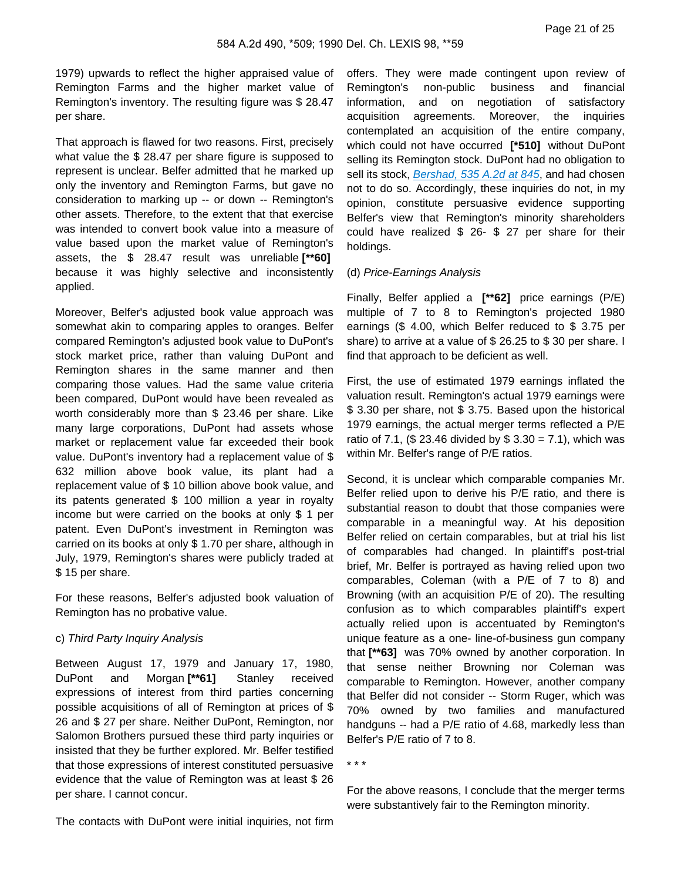1979) upwards to reflect the higher appraised value of Remington Farms and the higher market value of Remington's inventory. The resulting figure was \$ 28.47 per share.

That approach is flawed for two reasons. First, precisely what value the \$ 28.47 per share figure is supposed to represent is unclear. Belfer admitted that he marked up only the inventory and Remington Farms, but gave no consideration to marking up -- or down -- Remington's other assets. Therefore, to the extent that that exercise was intended to convert book value into a measure of value based upon the market value of Remington's assets, the \$ 28.47 result was unreliable **[\*\*60]**  because it was highly selective and inconsistently applied.

Moreover, Belfer's adjusted book value approach was somewhat akin to comparing apples to oranges. Belfer compared Remington's adjusted book value to DuPont's stock market price, rather than valuing DuPont and Remington shares in the same manner and then comparing those values. Had the same value criteria been compared, DuPont would have been revealed as worth considerably more than \$ 23.46 per share. Like many large corporations, DuPont had assets whose market or replacement value far exceeded their book value. DuPont's inventory had a replacement value of \$ 632 million above book value, its plant had a replacement value of \$ 10 billion above book value, and its patents generated \$ 100 million a year in royalty income but were carried on the books at only \$ 1 per patent. Even DuPont's investment in Remington was carried on its books at only \$ 1.70 per share, although in July, 1979, Remington's shares were publicly traded at \$ 15 per share.

For these reasons, Belfer's adjusted book valuation of Remington has no probative value.

### c) Third Party Inquiry Analysis

Between August 17, 1979 and January 17, 1980, DuPont and Morgan **[\*\*61]** Stanley received expressions of interest from third parties concerning possible acquisitions of all of Remington at prices of \$ 26 and \$ 27 per share. Neither DuPont, Remington, nor Salomon Brothers pursued these third party inquiries or insisted that they be further explored. Mr. Belfer testified that those expressions of interest constituted persuasive evidence that the value of Remington was at least \$ 26 per share. I cannot concur.

The contacts with DuPont were initial inquiries, not firm

offers. They were made contingent upon review of Remington's non-public business and financial information, and on negotiation of satisfactory acquisition agreements. Moreover, the inquiries contemplated an acquisition of the entire company, which could not have occurred **[\*510]** without DuPont selling its Remington stock. DuPont had no obligation to sell its stock, [Bershad, 535 A.2d at 845](https://advance.lexis.com/api/document?collection=cases&id=urn:contentItem:3RRT-7FG0-003C-K05X-00000-00&context=), and had chosen not to do so. Accordingly, these inquiries do not, in my opinion, constitute persuasive evidence supporting Belfer's view that Remington's minority shareholders could have realized \$ 26- \$ 27 per share for their holdings.

#### (d) Price-Earnings Analysis

Finally, Belfer applied a **[\*\*62]** price earnings (P/E) multiple of 7 to 8 to Remington's projected 1980 earnings (\$ 4.00, which Belfer reduced to \$ 3.75 per share) to arrive at a value of \$ 26.25 to \$ 30 per share. I find that approach to be deficient as well.

First, the use of estimated 1979 earnings inflated the valuation result. Remington's actual 1979 earnings were \$ 3.30 per share, not \$ 3.75. Based upon the historical 1979 earnings, the actual merger terms reflected a P/E ratio of 7.1, (\$ 23.46 divided by  $$3.30 = 7.1$ ), which was within Mr. Belfer's range of P/E ratios.

Second, it is unclear which comparable companies Mr. Belfer relied upon to derive his P/E ratio, and there is substantial reason to doubt that those companies were comparable in a meaningful way. At his deposition Belfer relied on certain comparables, but at trial his list of comparables had changed. In plaintiff's post-trial brief, Mr. Belfer is portrayed as having relied upon two comparables, Coleman (with a P/E of 7 to 8) and Browning (with an acquisition P/E of 20). The resulting confusion as to which comparables plaintiff's expert actually relied upon is accentuated by Remington's unique feature as a one- line-of-business gun company that **[\*\*63]** was 70% owned by another corporation. In that sense neither Browning nor Coleman was comparable to Remington. However, another company that Belfer did not consider -- Storm Ruger, which was 70% owned by two families and manufactured handguns -- had a P/E ratio of 4.68, markedly less than Belfer's P/E ratio of 7 to 8.

\* \* \*

For the above reasons, I conclude that the merger terms were substantively fair to the Remington minority.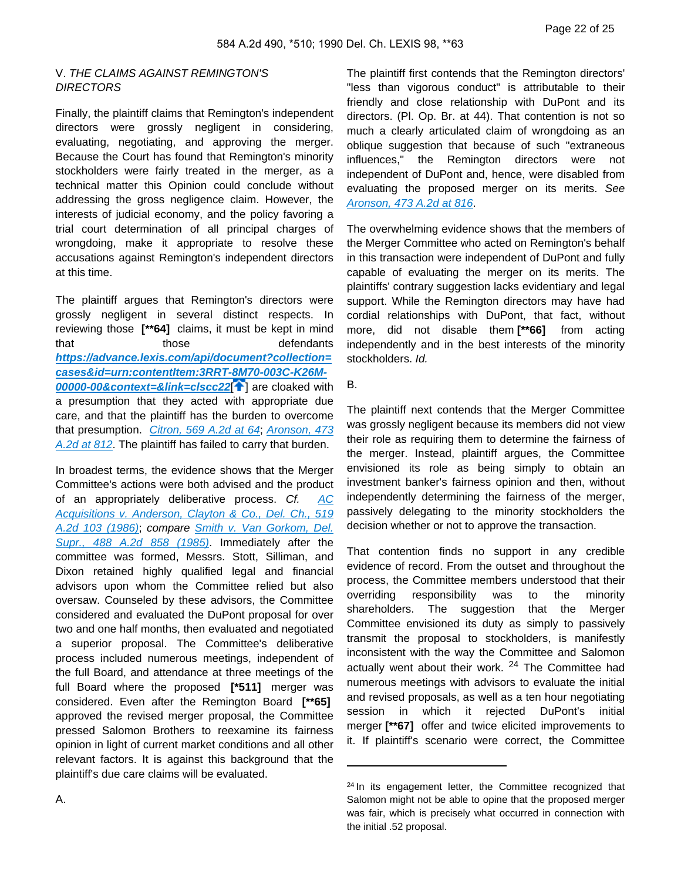## V. THE CLAIMS AGAINST REMINGTON'S **DIRECTORS**

Finally, the plaintiff claims that Remington's independent directors were grossly negligent in considering, evaluating, negotiating, and approving the merger. Because the Court has found that Remington's minority stockholders were fairly treated in the merger, as a technical matter this Opinion could conclude without addressing the gross negligence claim. However, the interests of judicial economy, and the policy favoring a trial court determination of all principal charges of wrongdoing, make it appropriate to resolve these accusations against Remington's independent directors at this time.

The plaintiff argues that Remington's directors were grossly negligent in several distinct respects. In reviewing those **[\*\*64]** claims, it must be kept in mind that those defendants **[https://advance.lexis.com/api/document?collection=](https://advance.lexis.com/api/document?collection=cases&id=urn:contentItem:3RRT-8M70-003C-K26M-00000-00&context=&link=clscc22) [cases&id=urn:contentItem:3RRT-8M70-003C-K26M-](https://advance.lexis.com/api/document?collection=cases&id=urn:contentItem:3RRT-8M70-003C-K26M-00000-00&context=&link=clscc22)[00000-00&context=&link=clscc22](https://advance.lexis.com/api/document?collection=cases&id=urn:contentItem:3RRT-8M70-003C-K26M-00000-00&context=&link=clscc22)<sup>[4[\]](#page-5-0)</sup> are cloaked with** a presumption that they acted with appropriate due care, and that the plaintiff has the burden to overcome that presumption. [Citron, 569 A.2d at 64](https://advance.lexis.com/api/document?collection=cases&id=urn:contentItem:3RRT-78S0-003C-K48M-00000-00&context=), Aronson, 473 [A.2d at 812](https://advance.lexis.com/api/document?collection=cases&id=urn:contentItem:3RRT-7N20-003C-K1FR-00000-00&context=). The plaintiff has failed to carry that burden.

In broadest terms, the evidence shows that the Merger Committee's actions were both advised and the product of an appropriately deliberative process. Cf. AC [Acquisitions v. Anderson, Clayton & Co., Del. Ch., 519](https://advance.lexis.com/api/document?collection=cases&id=urn:contentItem:3RRT-8SD0-003C-K30W-00000-00&context=)  [A.2d 103 \(1986\)](https://advance.lexis.com/api/document?collection=cases&id=urn:contentItem:3RRT-8SD0-003C-K30W-00000-00&context=); compare [Smith v. Van Gorkom, Del.](https://advance.lexis.com/api/document?collection=cases&id=urn:contentItem:3RRT-7M90-003C-K197-00000-00&context=) [Supr., 488 A.2d 858 \(1985\)](https://advance.lexis.com/api/document?collection=cases&id=urn:contentItem:3RRT-7M90-003C-K197-00000-00&context=). Immediately after the committee was formed, Messrs. Stott, Silliman, and Dixon retained highly qualified legal and financial advisors upon whom the Committee relied but also oversaw. Counseled by these advisors, the Committee considered and evaluated the DuPont proposal for over two and one half months, then evaluated and negotiated a superior proposal. The Committee's deliberative process included numerous meetings, independent of the full Board, and attendance at three meetings of the full Board where the proposed **[\*511]** merger was considered. Even after the Remington Board **[\*\*65]** approved the revised merger proposal, the Committee pressed Salomon Brothers to reexamine its fairness opinion in light of current market conditions and all other relevant factors. It is against this background that the plaintiff's due care claims will be evaluated.

The plaintiff first contends that the Remington directors' "less than vigorous conduct" is attributable to their friendly and close relationship with DuPont and its directors. (Pl. Op. Br. at 44). That contention is not so much a clearly articulated claim of wrongdoing as an oblique suggestion that because of such "extraneous influences," the Remington directors were not independent of DuPont and, hence, were disabled from evaluating the proposed merger on its merits. See [Aronson, 473 A.2d at 816](https://advance.lexis.com/api/document?collection=cases&id=urn:contentItem:3RRT-7N20-003C-K1FR-00000-00&context=).

The overwhelming evidence shows that the members of the Merger Committee who acted on Remington's behalf in this transaction were independent of DuPont and fully capable of evaluating the merger on its merits. The plaintiffs' contrary suggestion lacks evidentiary and legal support. While the Remington directors may have had cordial relationships with DuPont, that fact, without more, did not disable them **[\*\*66]** from acting independently and in the best interests of the minority stockholders. Id.

B.

The plaintiff next contends that the Merger Committee was grossly negligent because its members did not view their role as requiring them to determine the fairness of the merger. Instead, plaintiff argues, the Committee envisioned its role as being simply to obtain an investment banker's fairness opinion and then, without independently determining the fairness of the merger, passively delegating to the minority stockholders the decision whether or not to approve the transaction.

That contention finds no support in any credible evidence of record. From the outset and throughout the process, the Committee members understood that their overriding responsibility was to the minority shareholders. The suggestion that the Merger Committee envisioned its duty as simply to passively transmit the proposal to stockholders, is manifestly inconsistent with the way the Committee and Salomon actually went about their work. <sup>24</sup> The Committee had numerous meetings with advisors to evaluate the initial and revised proposals, as well as a ten hour negotiating session in which it rejected DuPont's initial merger **[\*\*67]** offer and twice elicited improvements to it. If plaintiff's scenario were correct, the Committee

<sup>&</sup>lt;sup>24</sup> In its engagement letter, the Committee recognized that Salomon might not be able to opine that the proposed merger was fair, which is precisely what occurred in connection with the initial .52 proposal.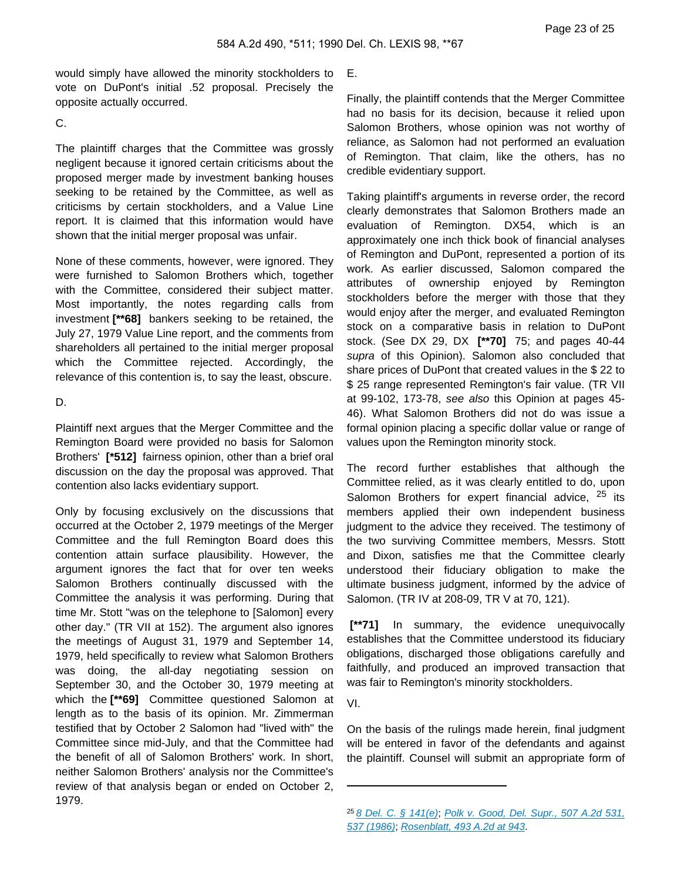would simply have allowed the minority stockholders to vote on DuPont's initial .52 proposal. Precisely the opposite actually occurred.

C.

The plaintiff charges that the Committee was grossly negligent because it ignored certain criticisms about the proposed merger made by investment banking houses seeking to be retained by the Committee, as well as criticisms by certain stockholders, and a Value Line report. It is claimed that this information would have shown that the initial merger proposal was unfair.

None of these comments, however, were ignored. They were furnished to Salomon Brothers which, together with the Committee, considered their subject matter. Most importantly, the notes regarding calls from investment **[\*\*68]** bankers seeking to be retained, the July 27, 1979 Value Line report, and the comments from shareholders all pertained to the initial merger proposal which the Committee rejected. Accordingly, the relevance of this contention is, to say the least, obscure.

# D.

Plaintiff next argues that the Merger Committee and the Remington Board were provided no basis for Salomon Brothers' **[\*512]** fairness opinion, other than a brief oral discussion on the day the proposal was approved. That contention also lacks evidentiary support.

Only by focusing exclusively on the discussions that occurred at the October 2, 1979 meetings of the Merger Committee and the full Remington Board does this contention attain surface plausibility. However, the argument ignores the fact that for over ten weeks Salomon Brothers continually discussed with the Committee the analysis it was performing. During that time Mr. Stott "was on the telephone to [Salomon] every other day." (TR VII at 152). The argument also ignores the meetings of August 31, 1979 and September 14, 1979, held specifically to review what Salomon Brothers was doing, the all-day negotiating session on September 30, and the October 30, 1979 meeting at which the **[\*\*69]** Committee questioned Salomon at length as to the basis of its opinion. Mr. Zimmerman testified that by October 2 Salomon had "lived with" the Committee since mid-July, and that the Committee had the benefit of all of Salomon Brothers' work. In short, neither Salomon Brothers' analysis nor the Committee's review of that analysis began or ended on October 2, 1979.

E.

Finally, the plaintiff contends that the Merger Committee had no basis for its decision, because it relied upon Salomon Brothers, whose opinion was not worthy of reliance, as Salomon had not performed an evaluation of Remington. That claim, like the others, has no credible evidentiary support.

Taking plaintiff's arguments in reverse order, the record clearly demonstrates that Salomon Brothers made an evaluation of Remington. DX54, which is an approximately one inch thick book of financial analyses of Remington and DuPont, represented a portion of its work. As earlier discussed, Salomon compared the attributes of ownership enjoyed by Remington stockholders before the merger with those that they would enjoy after the merger, and evaluated Remington stock on a comparative basis in relation to DuPont stock. (See DX 29, DX **[\*\*70]** 75; and pages 40-44 supra of this Opinion). Salomon also concluded that share prices of DuPont that created values in the \$ 22 to \$ 25 range represented Remington's fair value. (TR VII at 99-102, 173-78, see also this Opinion at pages 45- 46). What Salomon Brothers did not do was issue a formal opinion placing a specific dollar value or range of values upon the Remington minority stock.

The record further establishes that although the Committee relied, as it was clearly entitled to do, upon Salomon Brothers for expert financial advice, <sup>25</sup> its members applied their own independent business judgment to the advice they received. The testimony of the two surviving Committee members, Messrs. Stott and Dixon, satisfies me that the Committee clearly understood their fiduciary obligation to make the ultimate business judgment, informed by the advice of Salomon. (TR IV at 208-09, TR V at 70, 121).

 **[\*\*71]** In summary, the evidence unequivocally establishes that the Committee understood its fiduciary obligations, discharged those obligations carefully and faithfully, and produced an improved transaction that was fair to Remington's minority stockholders.

VI.

On the basis of the rulings made herein, final judgment will be entered in favor of the defendants and against the plaintiff. Counsel will submit an appropriate form of

<sup>25</sup> [8 Del. C. § 141\(e\)](https://advance.lexis.com/api/document?collection=statutes-legislation&id=urn:contentItem:5SY3-C2H0-004D-41SM-00000-00&context=); Polk v. Good, Del. Supr., 507 A.2d 531, [537 \(1986\)](https://advance.lexis.com/api/document?collection=cases&id=urn:contentItem:3RRT-7K10-003C-K10X-00000-00&context=); [Rosenblatt, 493 A.2d at 943](https://advance.lexis.com/api/document?collection=cases&id=urn:contentItem:3RRT-7KY0-003C-K17J-00000-00&context=).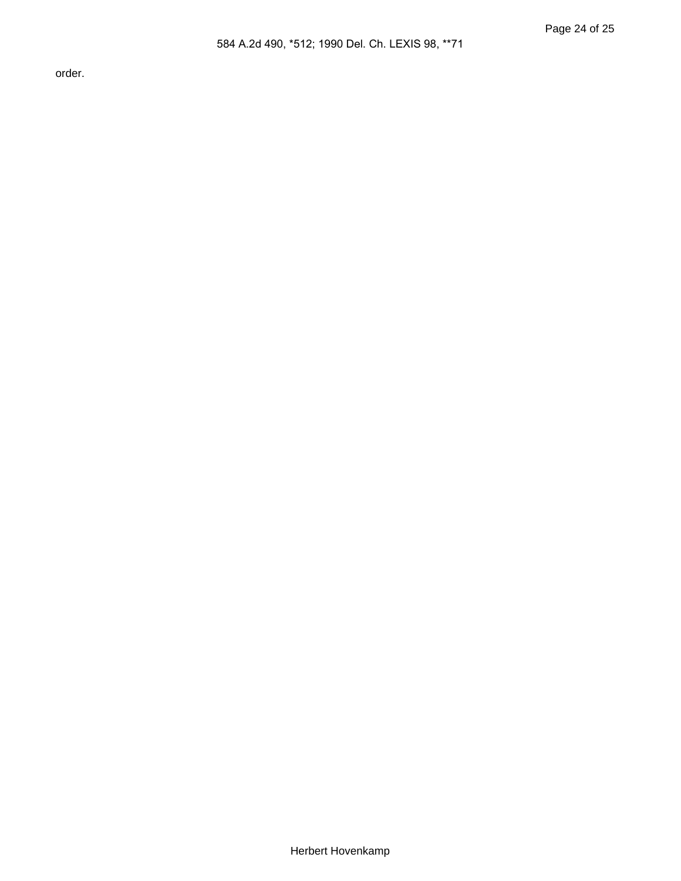order.